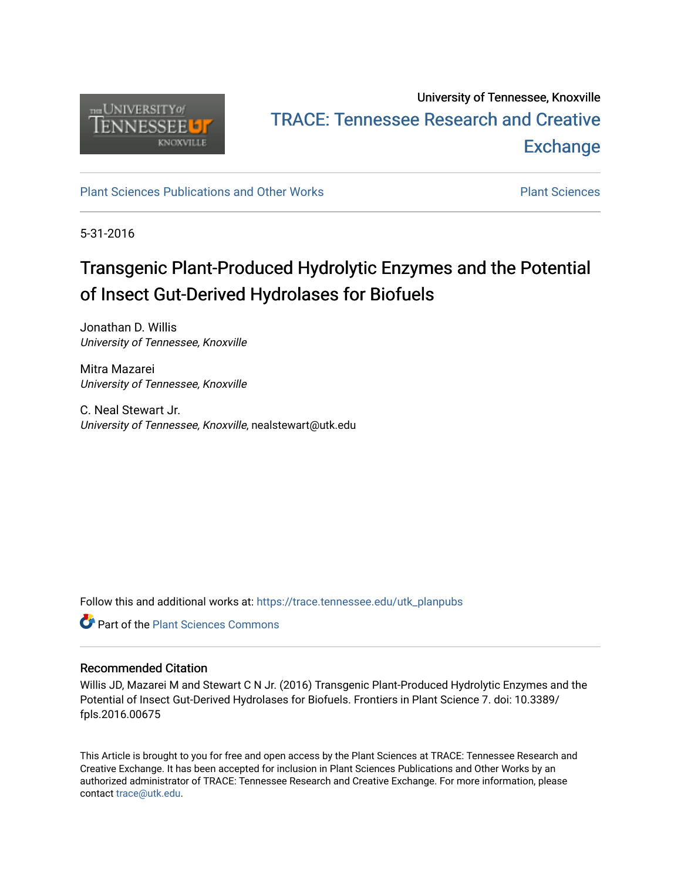

## University of Tennessee, Knoxville TRACE: T[ennessee Research and Cr](https://trace.tennessee.edu/)eative **Exchange**

#### [Plant Sciences Publications and Other Works](https://trace.tennessee.edu/utk_planpubs) [Plant Sciences](https://trace.tennessee.edu/utk-plan)

5-31-2016

# Transgenic Plant-Produced Hydrolytic Enzymes and the Potential of Insect Gut-Derived Hydrolases for Biofuels

Jonathan D. Willis University of Tennessee, Knoxville

Mitra Mazarei University of Tennessee, Knoxville

C. Neal Stewart Jr. University of Tennessee, Knoxville, nealstewart@utk.edu

Follow this and additional works at: [https://trace.tennessee.edu/utk\\_planpubs](https://trace.tennessee.edu/utk_planpubs?utm_source=trace.tennessee.edu%2Futk_planpubs%2F80&utm_medium=PDF&utm_campaign=PDFCoverPages) 

**C** Part of the [Plant Sciences Commons](https://network.bepress.com/hgg/discipline/102?utm_source=trace.tennessee.edu%2Futk_planpubs%2F80&utm_medium=PDF&utm_campaign=PDFCoverPages)

#### Recommended Citation

Willis JD, Mazarei M and Stewart C N Jr. (2016) Transgenic Plant-Produced Hydrolytic Enzymes and the Potential of Insect Gut-Derived Hydrolases for Biofuels. Frontiers in Plant Science 7. doi: 10.3389/ fpls.2016.00675

This Article is brought to you for free and open access by the Plant Sciences at TRACE: Tennessee Research and Creative Exchange. It has been accepted for inclusion in Plant Sciences Publications and Other Works by an authorized administrator of TRACE: Tennessee Research and Creative Exchange. For more information, please contact [trace@utk.edu](mailto:trace@utk.edu).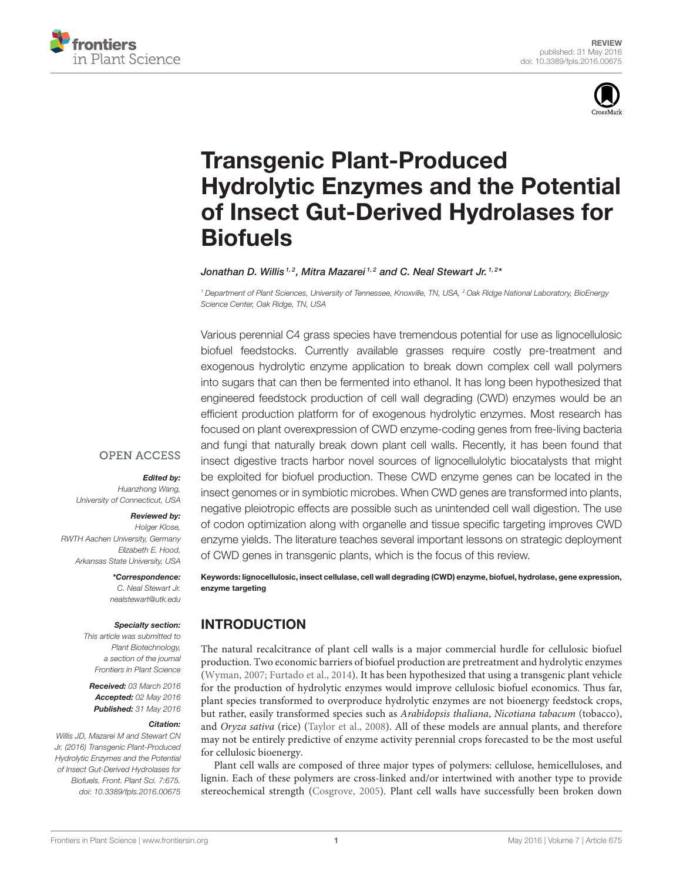



# Transgenic Plant-Produced [Hydrolytic Enzymes and the Potential](http://journal.frontiersin.org/article/10.3389/fpls.2016.00675/abstract) of Insect Gut-Derived Hydrolases for Biofuels

#### [Jonathan D. Willis](http://loop.frontiersin.org/people/334063/overview) <sup>1, 2</sup>, [Mitra Mazarei](http://loop.frontiersin.org/people/253933/overview) <sup>1, 2</sup> and [C. Neal Stewart Jr.](http://loop.frontiersin.org/people/213176/overview) <sup>1, 2\*</sup>

*<sup>1</sup> Department of Plant Sciences, University of Tennessee, Knoxville, TN, USA, <sup>2</sup> Oak Ridge National Laboratory, BioEnergy Science Center, Oak Ridge, TN, USA*

Various perennial C4 grass species have tremendous potential for use as lignocellulosic biofuel feedstocks. Currently available grasses require costly pre-treatment and exogenous hydrolytic enzyme application to break down complex cell wall polymers into sugars that can then be fermented into ethanol. It has long been hypothesized that engineered feedstock production of cell wall degrading (CWD) enzymes would be an efficient production platform for of exogenous hydrolytic enzymes. Most research has focused on plant overexpression of CWD enzyme-coding genes from free-living bacteria and fungi that naturally break down plant cell walls. Recently, it has been found that insect digestive tracts harbor novel sources of lignocellulolytic biocatalysts that might be exploited for biofuel production. These CWD enzyme genes can be located in the insect genomes or in symbiotic microbes. When CWD genes are transformed into plants, negative pleiotropic effects are possible such as unintended cell wall digestion. The use of codon optimization along with organelle and tissue specific targeting improves CWD enzyme yields. The literature teaches several important lessons on strategic deployment of CWD genes in transgenic plants, which is the focus of this review.

#### **OPEN ACCESS**

#### Edited by:

*Huanzhong Wang, University of Connecticut, USA*

#### Reviewed by:

*Holger Klose, RWTH Aachen University, Germany Elizabeth E. Hood, Arkansas State University, USA*

\*Correspondence:

*C. Neal Stewart Jr. [nealstewart@utk.edu](mailto:nealstewart@utk.edu)*

#### Specialty section:

*This article was submitted to Plant Biotechnology, a section of the journal Frontiers in Plant Science*

Received: *03 March 2016* Accepted: *02 May 2016* Published: *31 May 2016*

#### Citation:

*Willis JD, Mazarei M and Stewart CN Jr. (2016) Transgenic Plant-Produced Hydrolytic Enzymes and the Potential of Insect Gut-Derived Hydrolases for Biofuels. Front. Plant Sci. 7:675. doi: [10.3389/fpls.2016.00675](http://dx.doi.org/10.3389/fpls.2016.00675)*

Keywords: lignocellulosic, insect cellulase, cell wall degrading (CWD) enzyme, biofuel, hydrolase, gene expression, enzyme targeting

## INTRODUCTION

The natural recalcitrance of plant cell walls is a major commercial hurdle for cellulosic biofuel production. Two economic barriers of biofuel production are pretreatment and hydrolytic enzymes [\(Wyman, 2007;](#page-18-0) [Furtado et al., 2014\)](#page-15-0). It has been hypothesized that using a transgenic plant vehicle for the production of hydrolytic enzymes would improve cellulosic biofuel economics. Thus far, plant species transformed to overproduce hydrolytic enzymes are not bioenergy feedstock crops, but rather, easily transformed species such as Arabidopsis thaliana, Nicotiana tabacum (tobacco), and Oryza sativa (rice) [\(Taylor et al., 2008\)](#page-17-0). All of these models are annual plants, and therefore may not be entirely predictive of enzyme activity perennial crops forecasted to be the most useful for cellulosic bioenergy.

Plant cell walls are composed of three major types of polymers: cellulose, hemicelluloses, and lignin. Each of these polymers are cross-linked and/or intertwined with another type to provide stereochemical strength [\(Cosgrove, 2005\)](#page-15-1). Plant cell walls have successfully been broken down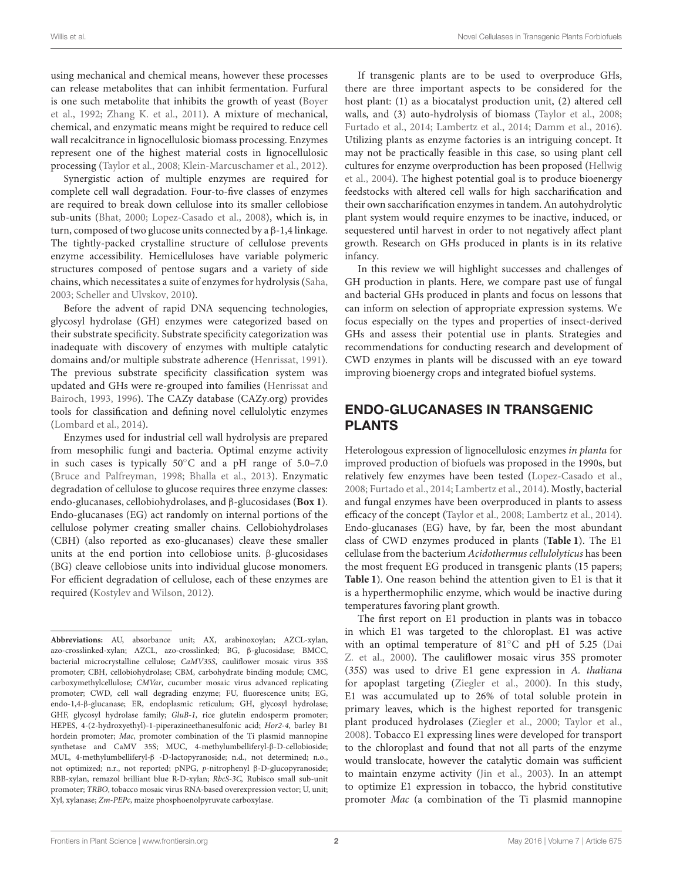using mechanical and chemical means, however these processes can release metabolites that can inhibit fermentation. Furfural is one such metabolite that inhibits the growth of yeast (Boyer et al., [1992;](#page-15-2) [Zhang K. et al., 2011\)](#page-18-1). A mixture of mechanical, chemical, and enzymatic means might be required to reduce cell wall recalcitrance in lignocellulosic biomass processing. Enzymes represent one of the highest material costs in lignocellulosic processing [\(Taylor et al., 2008;](#page-17-0) [Klein-Marcuschamer et al., 2012\)](#page-16-0).

Synergistic action of multiple enzymes are required for complete cell wall degradation. Four-to-five classes of enzymes are required to break down cellulose into its smaller cellobiose sub-units [\(Bhat, 2000;](#page-15-3) [Lopez-Casado et al., 2008\)](#page-16-1), which is, in turn, composed of two glucose units connected by a β-1,4 linkage. The tightly-packed crystalline structure of cellulose prevents enzyme accessibility. Hemicelluloses have variable polymeric structures composed of pentose sugars and a variety of side chains, which necessitates a suite of enzymes for hydrolysis [\(Saha,](#page-17-1) [2003;](#page-17-1) [Scheller and Ulvskov, 2010\)](#page-17-2).

Before the advent of rapid DNA sequencing technologies, glycosyl hydrolase (GH) enzymes were categorized based on their substrate specificity. Substrate specificity categorization was inadequate with discovery of enzymes with multiple catalytic domains and/or multiple substrate adherence [\(Henrissat, 1991\)](#page-15-4). The previous substrate specificity classification system was updated and GHs were re-grouped into families (Henrissat and Bairoch, [1993,](#page-15-5) [1996\)](#page-15-6). The CAZy database (CAZy.org) provides tools for classification and defining novel cellulolytic enzymes [\(Lombard et al., 2014\)](#page-16-2).

Enzymes used for industrial cell wall hydrolysis are prepared from mesophilic fungi and bacteria. Optimal enzyme activity in such cases is typically 50◦C and a pH range of 5.0–7.0 [\(Bruce and Palfreyman, 1998;](#page-15-7) [Bhalla et al., 2013\)](#page-15-8). Enzymatic degradation of cellulose to glucose requires three enzyme classes: endo-glucanases, cellobiohydrolases, and β-glucosidases (**Box 1**). Endo-glucanases (EG) act randomly on internal portions of the cellulose polymer creating smaller chains. Cellobiohydrolases (CBH) (also reported as exo-glucanases) cleave these smaller units at the end portion into cellobiose units. β-glucosidases (BG) cleave cellobiose units into individual glucose monomers. For efficient degradation of cellulose, each of these enzymes are required [\(Kostylev and Wilson, 2012\)](#page-16-3).

If transgenic plants are to be used to overproduce GHs, there are three important aspects to be considered for the host plant: (1) as a biocatalyst production unit, (2) altered cell walls, and (3) auto-hydrolysis of biomass [\(Taylor et al., 2008;](#page-17-0) [Furtado et al., 2014;](#page-15-0) [Lambertz et al., 2014;](#page-16-4) [Damm et al., 2016\)](#page-15-9). Utilizing plants as enzyme factories is an intriguing concept. It may not be practically feasible in this case, so using plant cell cultures for enzyme overproduction has been proposed (Hellwig et al., [2004\)](#page-15-10). The highest potential goal is to produce bioenergy feedstocks with altered cell walls for high saccharification and their own saccharification enzymes in tandem. An autohydrolytic plant system would require enzymes to be inactive, induced, or sequestered until harvest in order to not negatively affect plant growth. Research on GHs produced in plants is in its relative infancy.

In this review we will highlight successes and challenges of GH production in plants. Here, we compare past use of fungal and bacterial GHs produced in plants and focus on lessons that can inform on selection of appropriate expression systems. We focus especially on the types and properties of insect-derived GHs and assess their potential use in plants. Strategies and recommendations for conducting research and development of CWD enzymes in plants will be discussed with an eye toward improving bioenergy crops and integrated biofuel systems.

## ENDO-GLUCANASES IN TRANSGENIC PLANTS

Heterologous expression of lignocellulosic enzymes in planta for improved production of biofuels was proposed in the 1990s, but relatively few enzymes have been tested [\(Lopez-Casado et al.,](#page-16-1) [2008;](#page-16-1) [Furtado et al., 2014;](#page-15-0) [Lambertz et al., 2014\)](#page-16-4). Mostly, bacterial and fungal enzymes have been overproduced in plants to assess efficacy of the concept [\(Taylor et al., 2008;](#page-17-0) [Lambertz et al., 2014\)](#page-16-4). Endo-glucanases (EG) have, by far, been the most abundant class of CWD enzymes produced in plants (**[Table 1](#page-4-0)**). The E1 cellulase from the bacterium Acidothermus cellulolyticus has been the most frequent EG produced in transgenic plants (15 papers; **[Table 1](#page-4-0)**). One reason behind the attention given to E1 is that it is a hyperthermophilic enzyme, which would be inactive during temperatures favoring plant growth.

The first report on E1 production in plants was in tobacco in which E1 was targeted to the chloroplast. E1 was active with an optimal temperature of 81◦C and pH of 5.25 (Dai Z. et al., [2000\)](#page-15-11). The cauliflower mosaic virus 35S promoter (35S) was used to drive E1 gene expression in A. thaliana for apoplast targeting [\(Ziegler et al., 2000\)](#page-18-2). In this study, E1 was accumulated up to 26% of total soluble protein in primary leaves, which is the highest reported for transgenic plant produced hydrolases [\(Ziegler et al., 2000;](#page-18-2) [Taylor et al.,](#page-17-0) [2008\)](#page-17-0). Tobacco E1 expressing lines were developed for transport to the chloroplast and found that not all parts of the enzyme would translocate, however the catalytic domain was sufficient to maintain enzyme activity [\(Jin et al., 2003\)](#page-16-5). In an attempt to optimize E1 expression in tobacco, the hybrid constitutive promoter Mac (a combination of the Ti plasmid mannopine

**Abbreviations:** AU, absorbance unit; AX, arabinoxoylan; AZCL-xylan, azo-crosslinked-xylan; AZCL, azo-crosslinked; BG, β-glucosidase; BMCC, bacterial microcrystalline cellulose; CaMV35S, cauliflower mosaic virus 35S promoter; CBH, cellobiohydrolase; CBM, carbohydrate binding module; CMC, carboxymethylcellulose; CMVar, cucumber mosaic virus advanced replicating promoter; CWD, cell wall degrading enzyme; FU, fluorescence units; EG, endo-1,4-β-glucanase; ER, endoplasmic reticulum; GH, glycosyl hydrolase; GHF, glycosyl hydrolase family; GluB-1, rice glutelin endosperm promoter; HEPES, 4-(2-hydroxyethyl)-1-piperazineethanesulfonic acid; Hor2-4, barley B1 hordein promoter; Mac, promoter combination of the Ti plasmid mannopine synthetase and CaMV 35S; MUC, 4-methylumbelliferyl-β-D-cellobioside; MUL, 4-methylumbelliferyl-β -D-lactopyranoside; n.d., not determined; n.o., not optimized; n.r., not reported; pNPG, p-nitrophenyl β-D-glucopyranoside; RBB-xylan, remazol brilliant blue R-D-xylan; RbcS-3C, Rubisco small sub-unit promoter; TRBO, tobacco mosaic virus RNA-based overexpression vector; U, unit; Xyl, xylanase; Zm-PEPc, maize phosphoenolpyruvate carboxylase.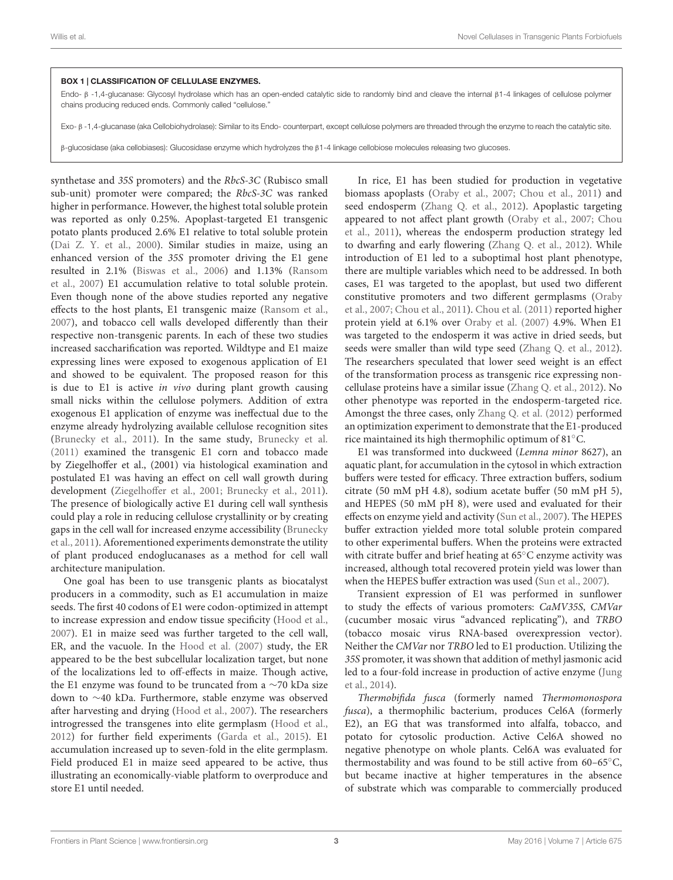#### BOX 1 | CLASSIFICATION OF CELLULASE ENZYMES.

Endo- β -1,4-glucanase: Glycosyl hydrolase which has an open-ended catalytic side to randomly bind and cleave the internal β1-4 linkages of cellulose polymer chains producing reduced ends. Commonly called "cellulose."

Exo- β -1,4-glucanase (aka Cellobiohydrolase): Similar to its Endo- counterpart, except cellulose polymers are threaded through the enzyme to reach the catalytic site.

β-glucosidase (aka cellobiases): Glucosidase enzyme which hydrolyzes the β1-4 linkage cellobiose molecules releasing two glucoses.

synthetase and 35S promoters) and the RbcS-3C (Rubisco small sub-unit) promoter were compared; the RbcS-3C was ranked higher in performance. However, the highest total soluble protein was reported as only 0.25%. Apoplast-targeted E1 transgenic potato plants produced 2.6% E1 relative to total soluble protein [\(Dai Z. Y. et al., 2000\)](#page-15-12). Similar studies in maize, using an enhanced version of the 35S promoter driving the E1 gene resulted in 2.1% [\(Biswas et al., 2006\)](#page-15-13) and 1.13% (Ransom et al., [2007\)](#page-17-3) E1 accumulation relative to total soluble protein. Even though none of the above studies reported any negative effects to the host plants, E1 transgenic maize [\(Ransom et al.,](#page-17-3) [2007\)](#page-17-3), and tobacco cell walls developed differently than their respective non-transgenic parents. In each of these two studies increased saccharification was reported. Wildtype and E1 maize expressing lines were exposed to exogenous application of E1 and showed to be equivalent. The proposed reason for this is due to E1 is active in vivo during plant growth causing small nicks within the cellulose polymers. Addition of extra exogenous E1 application of enzyme was ineffectual due to the enzyme already hydrolyzing available cellulose recognition sites [\(Brunecky et al., 2011\)](#page-15-14). In the same study, [Brunecky et al.](#page-15-14) [\(2011\)](#page-15-14) examined the transgenic E1 corn and tobacco made by Ziegelhoffer et al., (2001) via histological examination and postulated E1 was having an effect on cell wall growth during development [\(Ziegelhoffer et al., 2001;](#page-18-3) [Brunecky et al., 2011\)](#page-15-14). The presence of biologically active E1 during cell wall synthesis could play a role in reducing cellulose crystallinity or by creating gaps in the cell wall for increased enzyme accessibility (Brunecky et al., [2011\)](#page-15-14). Aforementioned experiments demonstrate the utility of plant produced endoglucanases as a method for cell wall architecture manipulation.

One goal has been to use transgenic plants as biocatalyst producers in a commodity, such as E1 accumulation in maize seeds. The first 40 codons of E1 were codon-optimized in attempt to increase expression and endow tissue specificity [\(Hood et al.,](#page-15-15) [2007\)](#page-15-15). E1 in maize seed was further targeted to the cell wall, ER, and the vacuole. In the [Hood et al. \(2007\)](#page-15-15) study, the ER appeared to be the best subcellular localization target, but none of the localizations led to off-effects in maize. Though active, the E1 enzyme was found to be truncated from a ∼70 kDa size down to ∼40 kDa. Furthermore, stable enzyme was observed after harvesting and drying [\(Hood et al., 2007\)](#page-15-15). The researchers introgressed the transgenes into elite germplasm [\(Hood et al.,](#page-15-16) [2012\)](#page-15-16) for further field experiments [\(Garda et al., 2015\)](#page-15-17). E1 accumulation increased up to seven-fold in the elite germplasm. Field produced E1 in maize seed appeared to be active, thus illustrating an economically-viable platform to overproduce and store E1 until needed.

In rice, E1 has been studied for production in vegetative biomass apoplasts [\(Oraby et al., 2007;](#page-17-4) [Chou et al., 2011\)](#page-15-18) and seed endosperm [\(Zhang Q. et al., 2012\)](#page-18-4). Apoplastic targeting appeared to not affect plant growth [\(Oraby et al., 2007;](#page-17-4) Chou et al., [2011\)](#page-15-18), whereas the endosperm production strategy led to dwarfing and early flowering [\(Zhang Q. et al., 2012\)](#page-18-4). While introduction of E1 led to a suboptimal host plant phenotype, there are multiple variables which need to be addressed. In both cases, E1 was targeted to the apoplast, but used two different constitutive promoters and two different germplasms (Oraby et al., [2007;](#page-17-4) [Chou et al., 2011\)](#page-15-18). [Chou et al. \(2011\)](#page-15-18) reported higher protein yield at 6.1% over [Oraby et al. \(2007\)](#page-17-4) 4.9%. When E1 was targeted to the endosperm it was active in dried seeds, but seeds were smaller than wild type seed [\(Zhang Q. et al., 2012\)](#page-18-4). The researchers speculated that lower seed weight is an effect of the transformation process as transgenic rice expressing noncellulase proteins have a similar issue [\(Zhang Q. et al., 2012\)](#page-18-4). No other phenotype was reported in the endosperm-targeted rice. Amongst the three cases, only [Zhang Q. et al. \(2012\)](#page-18-4) performed an optimization experiment to demonstrate that the E1-produced rice maintained its high thermophilic optimum of 81◦C.

E1 was transformed into duckweed (Lemna minor 8627), an aquatic plant, for accumulation in the cytosol in which extraction buffers were tested for efficacy. Three extraction buffers, sodium citrate (50 mM pH 4.8), sodium acetate buffer (50 mM pH 5), and HEPES (50 mM pH 8), were used and evaluated for their effects on enzyme yield and activity [\(Sun et al., 2007\)](#page-17-5). The HEPES buffer extraction yielded more total soluble protein compared to other experimental buffers. When the proteins were extracted with citrate buffer and brief heating at 65◦C enzyme activity was increased, although total recovered protein yield was lower than when the HEPES buffer extraction was used [\(Sun et al., 2007\)](#page-17-5).

Transient expression of E1 was performed in sunflower to study the effects of various promoters: CaMV35S, CMVar (cucumber mosaic virus "advanced replicating"), and TRBO (tobacco mosaic virus RNA-based overexpression vector). Neither the CMVar nor TRBO led to E1 production. Utilizing the 35S promoter, it was shown that addition of methyl jasmonic acid led to a four-fold increase in production of active enzyme (Jung et al., [2014\)](#page-16-6).

Thermobifida fusca (formerly named Thermomonospora fusca), a thermophilic bacterium, produces Cel6A (formerly E2), an EG that was transformed into alfalfa, tobacco, and potato for cytosolic production. Active Cel6A showed no negative phenotype on whole plants. Cel6A was evaluated for thermostability and was found to be still active from 60–65◦C, but became inactive at higher temperatures in the absence of substrate which was comparable to commercially produced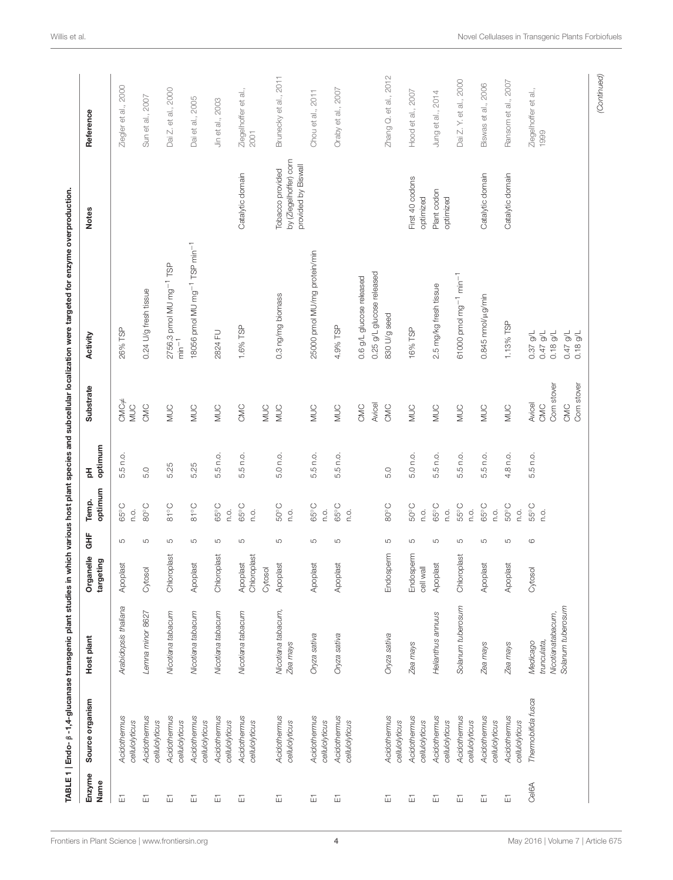<span id="page-4-0"></span>

|                              |                                |                                              |                         |                     |                        |              |                              | TABLE 1   Endo- β -1,4-glucanase transgenic plant studies in which various host plant species and subcellular localization were targeted for enzyme overproduction. |                                                                  |                              |
|------------------------------|--------------------------------|----------------------------------------------|-------------------------|---------------------|------------------------|--------------|------------------------------|---------------------------------------------------------------------------------------------------------------------------------------------------------------------|------------------------------------------------------------------|------------------------------|
| Enzyme<br>Name               | Source organism                | Host plant                                   | Organelle<br>targeting  | 불                   | optimum<br>Temp.       | optimum<br>玉 | Substrate                    | Activity                                                                                                                                                            | <b>Notes</b>                                                     | Reference                    |
| $\overleftarrow{\text{m}}$   | Acidothermus                   | Arabidopsis thaliana                         | Apoplast                | LO                  | 65°C                   | 5.5 n.o.     | $CMC \neq$                   | 26% TSP                                                                                                                                                             |                                                                  | Ziegler et al., 2000         |
|                              | cellulolyticus                 |                                              |                         |                     | o.o                    |              | <b>MUC</b>                   |                                                                                                                                                                     |                                                                  |                              |
| 靣                            | Acidothermus<br>cellulolyticus | Lemna minor 8627                             | Cytosol                 | LO                  | $SO^{\circ}C$          | 5.0          | CMC                          | 0.24 U/g fresh tissue                                                                                                                                               |                                                                  | Sun et al., 2007             |
| 靣                            | Acidothemus<br>cellulolyticus  | Nicotiana tabacum                            | Chloroplast             | LO                  | $91^{\circ}$ C         | 5.25         | <b>DUM</b>                   | 2756.3 pmol MU mg <sup>-1</sup> TSP<br>min <sup>-1</sup>                                                                                                            |                                                                  | Dai Z. et al., 2000          |
| 靣                            | Acidothermus<br>cellulolyticus | Nicotiana tabacum                            | Apoplast                | LO                  | $91^{\circ}$ C         | 5.25         | <b>MUC</b>                   | 18056 pmol MU mg <sup>-1</sup> TSP min <sup>-1</sup>                                                                                                                |                                                                  | Dai et al., 2005             |
| 面                            | Acidothermus<br>cellulolyticus | Nicotiana tabacum                            | Chloroplast             | Б                   | 65°C<br>c.c            | 5.5 n.o.     | <b>MUC</b>                   | 2824 FU                                                                                                                                                             |                                                                  | Jin et al., 2003             |
| 靣                            | Acidothermus<br>cellulolyticus | Nicotiana tabacum                            | Chloroplast<br>Apoplast | LO                  | 65°C<br>Ο.             | 5.5 n.o.     | CMC                          | 1.6% TSP                                                                                                                                                            | Catalytic domain                                                 | Ziegelhoffer et al.,<br>2001 |
|                              |                                |                                              | Cytosol                 |                     |                        |              | <b>NUC</b>                   |                                                                                                                                                                     |                                                                  |                              |
| $\overleftarrow{\mathbb{L}}$ | Acidothermus<br>cellulolyticus | Nicotiana tabacum,<br>Zea mays               | Apoplast                | LO                  | $50^{\circ}$ C<br>n.o. | 5.0 n.o.     | <b>MUC</b>                   | 0.3 ng/mg biomass                                                                                                                                                   | by Ziegelhoffer) corn<br>provided by Biswall<br>Tobacco provided | Brunecky et al., 2011        |
| $\overleftarrow{\mathbb{L}}$ | Acidothermus<br>cellulolyticus | Oryza sativa                                 | Apoplast                | LO                  | 65°C<br>c.c            | 5.5 n.o.     | <b>MUC</b>                   | 25000 pmol MU/mg protein/min                                                                                                                                        |                                                                  | Chou et al., 2011            |
| 靣                            | Acidothermus<br>cellulolyticus | Oryza sativa                                 | Apoplast                | LO                  | 65°C<br>c.c            | 5.5 n.o.     | <b>MUC</b>                   | 4.9% TSP                                                                                                                                                            |                                                                  | Oraby et al., 2007           |
|                              |                                |                                              |                         |                     |                        |              | CMC                          | 0.6 g/L glucose released                                                                                                                                            |                                                                  |                              |
|                              |                                |                                              |                         |                     |                        |              | Avicel                       | 0.25 g/L glucose released                                                                                                                                           |                                                                  |                              |
| 靣                            | Acidothermus<br>cellulolyticus | Oryza sativa                                 | Endosperm               | LO                  | $SO^{\circ}C$          | 5.0          | CMC                          | 830 U/g seed                                                                                                                                                        |                                                                  | Zhang Q. et al., 2012        |
| 靣                            | Acidothemus<br>cellulolyticus  | Zea mays                                     | Endosperm<br>cell wall  | S                   | $50^{\circ}$ C<br>Ο.   | 5.0 n.o.     | <b>NINC</b>                  | 16% TSP                                                                                                                                                             | First 40 codons<br>optimized                                     | Hood et al., 2007            |
| 靣                            | Acidothermus<br>cellulolyticus | Helianthus annuus                            | Apoplast                | LO                  | 65°C<br>c.c            | 5.5 n.o.     | <b>NUC</b>                   | 2.5 mg/kg fresh tissue                                                                                                                                              | Plant codon<br>optimized                                         | Jung et al., 2014            |
| 靣                            | Acidothermus<br>cellulolyticus | Solanum tuberosum                            | Chloroplast             | LO                  | 55°C<br>n.o.           | 5.5 n.o.     | <b>SUM</b>                   | 61000 pmol mg <sup>-1</sup> min <sup>-1</sup>                                                                                                                       |                                                                  | Dai Z. Y. et al., 2000       |
| $\overleftarrow{\mathbf{h}}$ | Acidothermus<br>cellulolyticus | Zea mays                                     | Apoplast                | LO                  | 65°C<br>c.c            | 5.5 n.o.     | <b>NINC</b>                  | 0.845 nmol/µg/min                                                                                                                                                   | Catalytic domain                                                 | Biswas et al., 2006          |
| 靣                            | Acidothemus<br>cellulolyticus  | Zea mays                                     | Apoplast                | LO                  | 50°C<br>c.<br>C        | 4.8 n.o.     | <b>NUC</b>                   | 1.13% TSP                                                                                                                                                           | Catalytic domain                                                 | Ransom et al., 2007          |
| Cel6A                        | Thermobifida fusca             | Nicotianatabacum,<br>trunculata,<br>Medicago | Cytosol                 | $\circlearrowright$ | 55°C<br>n.o.           | 5.5 n.o.     | Corn stover<br>Avicel<br>CMC | $-1/6$ 27 0<br>$0.18$ g/L<br>$0.37$ g/L                                                                                                                             |                                                                  | Ziegelhoffer et al.,<br>1999 |
|                              |                                | Solanum tuberosum                            |                         |                     |                        |              | Corn stover<br>SMC           | 0.47 g/L<br>$0.18$ g/L                                                                                                                                              |                                                                  |                              |
|                              |                                |                                              |                         |                     |                        |              |                              |                                                                                                                                                                     |                                                                  | (Continued)                  |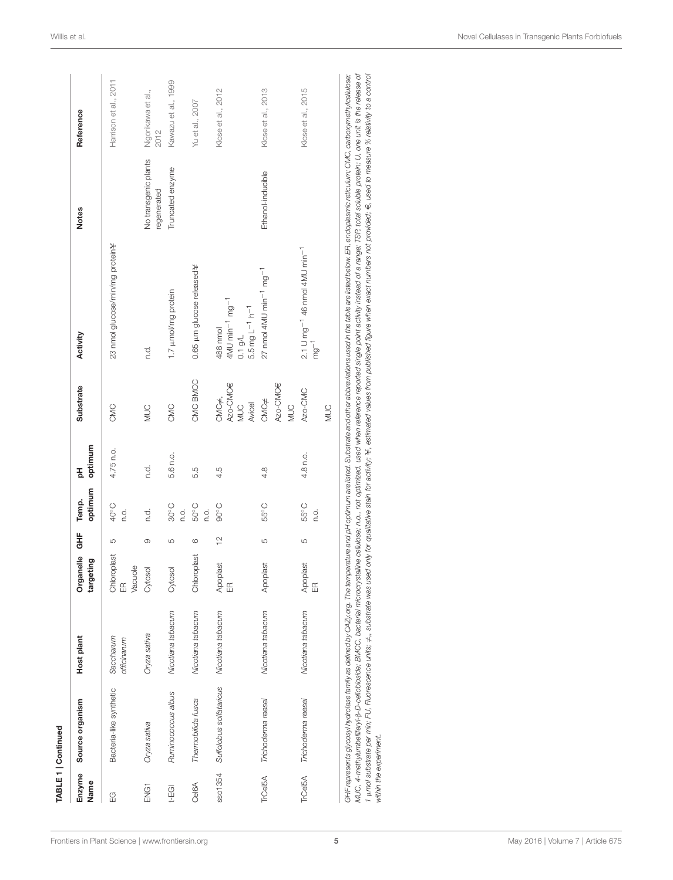|                        | TABLE 1   Continued                       |                          |                                        |               |                        |              |                                           |                                                                                                                                                                                                                                                                                                                                                                                                                                                                                                                                                                                                                                                                                                   |                                     |                            |
|------------------------|-------------------------------------------|--------------------------|----------------------------------------|---------------|------------------------|--------------|-------------------------------------------|---------------------------------------------------------------------------------------------------------------------------------------------------------------------------------------------------------------------------------------------------------------------------------------------------------------------------------------------------------------------------------------------------------------------------------------------------------------------------------------------------------------------------------------------------------------------------------------------------------------------------------------------------------------------------------------------------|-------------------------------------|----------------------------|
| Enzyme<br>Name         | Source organism                           | Host plant               | Organelle<br>targeting                 | 노<br>아        | optimum<br>Temp.       | optimum<br>공 | Substrate                                 | Activity                                                                                                                                                                                                                                                                                                                                                                                                                                                                                                                                                                                                                                                                                          | <b>Notes</b>                        | Reference                  |
| G                      | Bacteria-like synthetic                   | Saccharum<br>officinarum | Chloroplast<br>Vacuole<br>$\mathbb{E}$ | LO            | 40°C<br>c.             | 4.75 n.o.    | CMC                                       | 23 nmol glucose/min/mg protein¥                                                                                                                                                                                                                                                                                                                                                                                                                                                                                                                                                                                                                                                                   |                                     | Harrison et al., 2011      |
| ENG1                   | Oryza sativa                              | Oryza sativa             | Cytosol                                | 0             | c.<br>C                | c.<br>C      | <b>NUC</b>                                | c.c                                                                                                                                                                                                                                                                                                                                                                                                                                                                                                                                                                                                                                                                                               | No transgenic plants<br>regenerated | Nigorikawa et al.,<br>2012 |
| t-EGI                  | Ruminococcus albus                        | Nicotiana tabacum        | Cytosol                                | LO            | $30^{\circ}$ C<br>n.o. | 5.6 n.o.     | CMC                                       | 1.7 µmol/mg protein                                                                                                                                                                                                                                                                                                                                                                                                                                                                                                                                                                                                                                                                               | Truncated enzyme                    | Kawazu et al., 1999        |
| Cel6A                  | Thermobifida fusca                        | Nicotiana tabacum        | Chloroplast                            | 6             | $50^{\circ}$ C<br>Ω.   | 5.5          | CMC BMCC                                  | 0.65 µm glucose released¥                                                                                                                                                                                                                                                                                                                                                                                                                                                                                                                                                                                                                                                                         |                                     | Yu et al., 2007            |
| sso1354                | Sulfolobus solfataricus Nicotiana tabacum |                          | Apoplast<br>$\mathbb{E}$               | $\frac{1}{2}$ | $90^{\circ}$ C         | 4.5          | Azo-CMC€<br>CMC≠,<br>Avicel<br><b>SOM</b> | $4$ MU min $^{-1}$ mg $^{-1}$<br>$5.5 \, \text{mg} \, \text{L}^{-1} \, \text{h}^{-1}$<br>488 nmol<br>$0.1$ g/L                                                                                                                                                                                                                                                                                                                                                                                                                                                                                                                                                                                    |                                     | Klose et al., 2012         |
| <b>TrCeI5A</b>         | Trichoderma reesei                        | Nicotiana tabacum        | Apoplast                               | LO            | 55°C                   | 4.8          | Azo-CMCE<br>$CMC \neq$<br>NUC             | $27 \text{ nmol}$ 4MU $\text{min}^{-1} \text{ mg}^{-1}$                                                                                                                                                                                                                                                                                                                                                                                                                                                                                                                                                                                                                                           | Ethanol-inducible                   | Klose et al., 2013         |
| TrCel5A                | Trichoderma reesei                        | Nicotiana tabacum        | Apoplast<br>$\mathbb{E}$               | 5             | 55°C<br>n.o.           | 4.8 n.o.     | Azo-CMC<br><b>NUC</b>                     | $2.1 \text{ U mg}^{-1}$ 46 nmol 4MU min <sup>-1</sup><br>$mg^{-1}$                                                                                                                                                                                                                                                                                                                                                                                                                                                                                                                                                                                                                                |                                     | Klose et al., 2015         |
| within the experiment. |                                           |                          |                                        |               |                        |              |                                           | WUC, 4-methylumbellifery-B-D-cellobioside; BMCC, bacterial microcrystalline cellulose; n.o.t not optimized, used when reference reported single point activity instead of a range; TSP, total soluble protein; U, one unit is<br>GHF represents glycosyl hydrolase family as defined by CAZy.org. The temperature and pH optimum are listed. Substrate and other abbreviations used in the table are listed below. ER, endoplasmic reticulum; CMC, carboxymethy<br>1 unol substrate per min; FU, Fuorescence units; ≠,, substrate was used only for qualitative stain for activity; ¥, estimated values from published figure when exact numbers not provided; €, used to measure % relativity to |                                     |                            |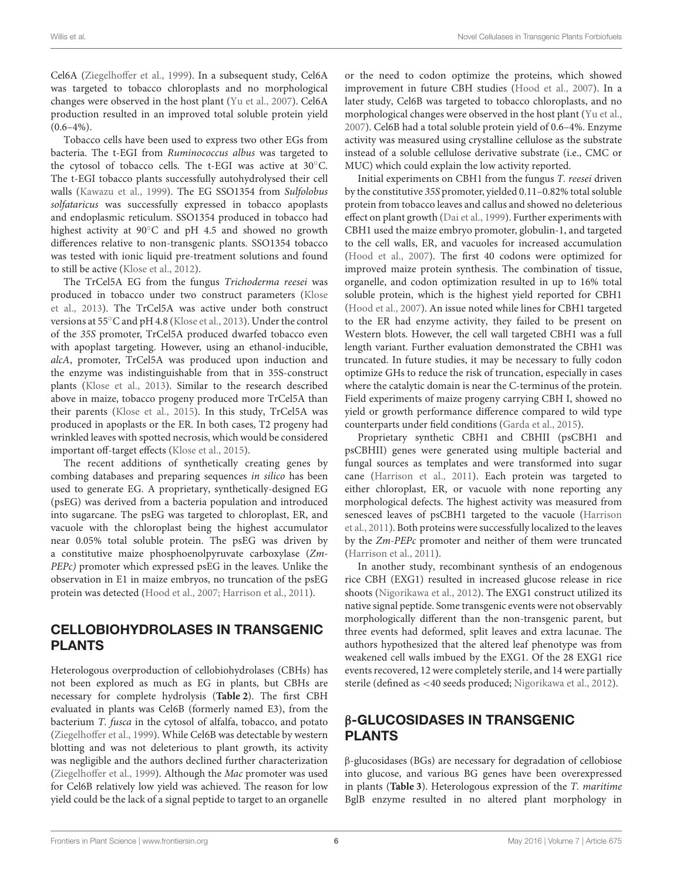Cel6A [\(Ziegelhoffer et al., 1999\)](#page-18-5). In a subsequent study, Cel6A was targeted to tobacco chloroplasts and no morphological changes were observed in the host plant [\(Yu et al., 2007\)](#page-18-6). Cel6A production resulted in an improved total soluble protein yield  $(0.6-4\%)$ .

Tobacco cells have been used to express two other EGs from bacteria. The t-EGI from Ruminococcus albus was targeted to the cytosol of tobacco cells. The t-EGI was active at 30°C. The t-EGI tobacco plants successfully autohydrolysed their cell walls [\(Kawazu et al., 1999\)](#page-16-7). The EG SSO1354 from Sulfolobus solfataricus was successfully expressed in tobacco apoplasts and endoplasmic reticulum. SSO1354 produced in tobacco had highest activity at 90◦C and pH 4.5 and showed no growth differences relative to non-transgenic plants. SSO1354 tobacco was tested with ionic liquid pre-treatment solutions and found to still be active [\(Klose et al., 2012\)](#page-16-8).

The TrCel5A EG from the fungus Trichoderma reesei was produced in tobacco under two construct parameters (Klose et al., [2013\)](#page-16-9). The TrCel5A was active under both construct versions at 55◦C and pH 4.8 [\(Klose et al., 2013\)](#page-16-9). Under the control of the 35S promoter, TrCel5A produced dwarfed tobacco even with apoplast targeting. However, using an ethanol-inducible, alcA, promoter, TrCel5A was produced upon induction and the enzyme was indistinguishable from that in 35S-construct plants [\(Klose et al., 2013\)](#page-16-9). Similar to the research described above in maize, tobacco progeny produced more TrCel5A than their parents [\(Klose et al., 2015\)](#page-16-10). In this study, TrCel5A was produced in apoplasts or the ER. In both cases, T2 progeny had wrinkled leaves with spotted necrosis, which would be considered important off-target effects [\(Klose et al., 2015\)](#page-16-10).

The recent additions of synthetically creating genes by combing databases and preparing sequences in silico has been used to generate EG. A proprietary, synthetically-designed EG (psEG) was derived from a bacteria population and introduced into sugarcane. The psEG was targeted to chloroplast, ER, and vacuole with the chloroplast being the highest accumulator near 0.05% total soluble protein. The psEG was driven by a constitutive maize phosphoenolpyruvate carboxylase (Zm-PEPc) promoter which expressed psEG in the leaves. Unlike the observation in E1 in maize embryos, no truncation of the psEG protein was detected [\(Hood et al., 2007;](#page-15-15) [Harrison et al., 2011\)](#page-15-20).

#### CELLOBIOHYDROLASES IN TRANSGENIC PLANTS

Heterologous overproduction of cellobiohydrolases (CBHs) has not been explored as much as EG in plants, but CBHs are necessary for complete hydrolysis (**[Table 2](#page-7-0)**). The first CBH evaluated in plants was Cel6B (formerly named E3), from the bacterium T. fusca in the cytosol of alfalfa, tobacco, and potato [\(Ziegelhoffer et al., 1999\)](#page-18-5). While Cel6B was detectable by western blotting and was not deleterious to plant growth, its activity was negligible and the authors declined further characterization [\(Ziegelhoffer et al., 1999\)](#page-18-5). Although the Mac promoter was used for Cel6B relatively low yield was achieved. The reason for low yield could be the lack of a signal peptide to target to an organelle or the need to codon optimize the proteins, which showed improvement in future CBH studies [\(Hood et al., 2007\)](#page-15-15). In a later study, Cel6B was targeted to tobacco chloroplasts, and no morphological changes were observed in the host plant [\(Yu et al.,](#page-18-6) [2007\)](#page-18-6). Cel6B had a total soluble protein yield of 0.6–4%. Enzyme activity was measured using crystalline cellulose as the substrate instead of a soluble cellulose derivative substrate (i.e., CMC or MUC) which could explain the low activity reported.

Initial experiments on CBH1 from the fungus T. reesei driven by the constitutive 35S promoter, yielded 0.11–0.82% total soluble protein from tobacco leaves and callus and showed no deleterious effect on plant growth [\(Dai et al., 1999\)](#page-15-21). Further experiments with CBH1 used the maize embryo promoter, globulin-1, and targeted to the cell walls, ER, and vacuoles for increased accumulation [\(Hood et al., 2007\)](#page-15-15). The first 40 codons were optimized for improved maize protein synthesis. The combination of tissue, organelle, and codon optimization resulted in up to 16% total soluble protein, which is the highest yield reported for CBH1 [\(Hood et al., 2007\)](#page-15-15). An issue noted while lines for CBH1 targeted to the ER had enzyme activity, they failed to be present on Western blots. However, the cell wall targeted CBH1 was a full length variant. Further evaluation demonstrated the CBH1 was truncated. In future studies, it may be necessary to fully codon optimize GHs to reduce the risk of truncation, especially in cases where the catalytic domain is near the C-terminus of the protein. Field experiments of maize progeny carrying CBH I, showed no yield or growth performance difference compared to wild type counterparts under field conditions [\(Garda et al., 2015\)](#page-15-17).

Proprietary synthetic CBH1 and CBHII (psCBH1 and psCBHII) genes were generated using multiple bacterial and fungal sources as templates and were transformed into sugar cane [\(Harrison et al., 2011\)](#page-15-20). Each protein was targeted to either chloroplast, ER, or vacuole with none reporting any morphological defects. The highest activity was measured from senesced leaves of psCBH1 targeted to the vacuole (Harrison et al., [2011\)](#page-15-20). Both proteins were successfully localized to the leaves by the Zm-PEPc promoter and neither of them were truncated [\(Harrison et al., 2011\)](#page-15-20).

In another study, recombinant synthesis of an endogenous rice CBH (EXG1) resulted in increased glucose release in rice shoots [\(Nigorikawa et al., 2012\)](#page-17-6). The EXG1 construct utilized its native signal peptide. Some transgenic events were not observably morphologically different than the non-transgenic parent, but three events had deformed, split leaves and extra lacunae. The authors hypothesized that the altered leaf phenotype was from weakened cell walls imbued by the EXG1. Of the 28 EXG1 rice events recovered, 12 were completely sterile, and 14 were partially sterile (defined as <40 seeds produced; [Nigorikawa et al., 2012\)](#page-17-6).

#### β-GLUCOSIDASES IN TRANSGENIC PLANTS

β-glucosidases (BGs) are necessary for degradation of cellobiose into glucose, and various BG genes have been overexpressed in plants (**[Table 3](#page-8-0)**). Heterologous expression of the T. maritime BglB enzyme resulted in no altered plant morphology in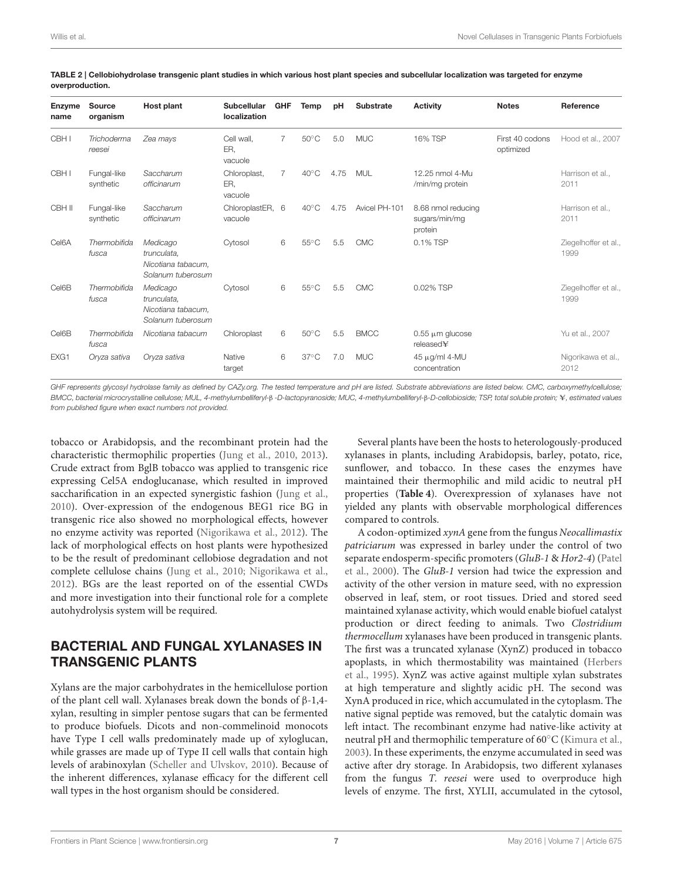| <b>Enzyme</b><br>name | <b>Source</b><br>organism | Host plant                                                         | <b>Subcellular</b><br>localization | <b>GHF</b> | Temp           | pH   | <b>Substrate</b> | <b>Activity</b>                                | <b>Notes</b>                 | Reference                    |
|-----------------------|---------------------------|--------------------------------------------------------------------|------------------------------------|------------|----------------|------|------------------|------------------------------------------------|------------------------------|------------------------------|
| CBH I                 | Trichoderma<br>reesei     | Zea mays                                                           | Cell wall,<br>ER.<br>vacuole       | 7          | $50^{\circ}$ C | 5.0  | <b>MUC</b>       | 16% TSP                                        | First 40 codons<br>optimized | Hood et al., 2007            |
| CBH I                 | Fungal-like<br>synthetic  | Saccharum<br>officinarum                                           | Chloroplast,<br>ER.<br>vacuole     | 7          | $40^{\circ}$ C | 4.75 | MUL              | 12.25 nmol 4-Mu<br>/min/mg protein             |                              | Harrison et al<br>2011       |
| CBH II                | Fungal-like<br>synthetic  | Saccharum<br>officinarum                                           | ChloroplastER, 6<br>vacuole        |            | $40^{\circ}$ C | 4.75 | Avicel PH-101    | 8.68 nmol reducing<br>sugars/min/mg<br>protein |                              | Harrison et al.,<br>2011     |
| Cel <sub>6</sub> A    | Thermobifida<br>fusca     | Medicago<br>trunculata.<br>Nicotiana tabacum,<br>Solanum tuberosum | Cytosol                            | 6          | $55^{\circ}$ C | 5.5  | <b>CMC</b>       | 0.1% TSP                                       |                              | Ziegelhoffer et al.,<br>1999 |
| Cel6B                 | Thermobifida<br>fusca     | Medicago<br>trunculata.<br>Nicotiana tabacum,<br>Solanum tuberosum | Cytosol                            | 6          | $55^{\circ}$ C | 5.5  | <b>CMC</b>       | 0.02% TSP                                      |                              | Ziegelhoffer et al.,<br>1999 |
| Cel6B                 | Thermobifida<br>fusca     | Nicotiana tabacum                                                  | Chloroplast                        | 6          | $50^{\circ}$ C | 5.5  | <b>BMCC</b>      | $0.55 \mu m$ glucose<br>released¥              |                              | Yu et al., 2007              |
| EXG1                  | Oryza sativa              | Oryza sativa                                                       | Native<br>target                   | 6          | $37^{\circ}$ C | 7.0  | <b>MUC</b>       | 45 μg/ml 4-MU<br>concentration                 |                              | Nigorikawa et al.,<br>2012   |

<span id="page-7-0"></span>TABLE 2 | Cellobiohydrolase transgenic plant studies in which various host plant species and subcellular localization was targeted for enzyme overproduction.

*GHF represents glycosyl hydrolase family as defined by CAZy.org. The tested temperature and pH are listed. Substrate abbreviations are listed below. CMC, carboxymethylcellulose; BMCC, bacterial microcrystalline cellulose; MUL, 4-methylumbelliferyl-*β *-D-lactopyranoside; MUC, 4-methylumbelliferyl-*β*-D-cellobioside; TSP, total soluble protein;* U*, estimated values from published figure when exact numbers not provided.*

tobacco or Arabidopsis, and the recombinant protein had the characteristic thermophilic properties [\(Jung et al., 2010,](#page-16-11) [2013\)](#page-16-12). Crude extract from BglB tobacco was applied to transgenic rice expressing Cel5A endoglucanase, which resulted in improved saccharification in an expected synergistic fashion [\(Jung et al.,](#page-16-11) [2010\)](#page-16-11). Over-expression of the endogenous BEG1 rice BG in transgenic rice also showed no morphological effects, however no enzyme activity was reported [\(Nigorikawa et al., 2012\)](#page-17-6). The lack of morphological effects on host plants were hypothesized to be the result of predominant cellobiose degradation and not complete cellulose chains [\(Jung et al., 2010;](#page-16-11) [Nigorikawa et al.,](#page-17-6) [2012\)](#page-17-6). BGs are the least reported on of the essential CWDs and more investigation into their functional role for a complete autohydrolysis system will be required.

## BACTERIAL AND FUNGAL XYLANASES IN TRANSGENIC PLANTS

Xylans are the major carbohydrates in the hemicellulose portion of the plant cell wall. Xylanases break down the bonds of β-1,4 xylan, resulting in simpler pentose sugars that can be fermented to produce biofuels. Dicots and non-commelinoid monocots have Type I cell walls predominately made up of xyloglucan, while grasses are made up of Type II cell walls that contain high levels of arabinoxylan [\(Scheller and Ulvskov, 2010\)](#page-17-2). Because of the inherent differences, xylanase efficacy for the different cell wall types in the host organism should be considered.

Several plants have been the hosts to heterologously-produced xylanases in plants, including Arabidopsis, barley, potato, rice, sunflower, and tobacco. In these cases the enzymes have maintained their thermophilic and mild acidic to neutral pH properties (**[Table 4](#page-8-1)**). Overexpression of xylanases have not yielded any plants with observable morphological differences compared to controls.

A codon-optimized xynA gene from the fungus Neocallimastix patriciarum was expressed in barley under the control of two separate endosperm-specific promoters (GluB-1 & Hor2-4) (Patel et al., [2000\)](#page-17-7). The GluB-1 version had twice the expression and activity of the other version in mature seed, with no expression observed in leaf, stem, or root tissues. Dried and stored seed maintained xylanase activity, which would enable biofuel catalyst production or direct feeding to animals. Two Clostridium thermocellum xylanases have been produced in transgenic plants. The first was a truncated xylanase (XynZ) produced in tobacco apoplasts, in which thermostability was maintained (Herbers et al., [1995\)](#page-15-22). XynZ was active against multiple xylan substrates at high temperature and slightly acidic pH. The second was XynA produced in rice, which accumulated in the cytoplasm. The native signal peptide was removed, but the catalytic domain was left intact. The recombinant enzyme had native-like activity at neutral pH and thermophilic temperature of 60◦C [\(Kimura et al.,](#page-16-13) [2003\)](#page-16-13). In these experiments, the enzyme accumulated in seed was active after dry storage. In Arabidopsis, two different xylanases from the fungus T. reesei were used to overproduce high levels of enzyme. The first, XYLII, accumulated in the cytosol,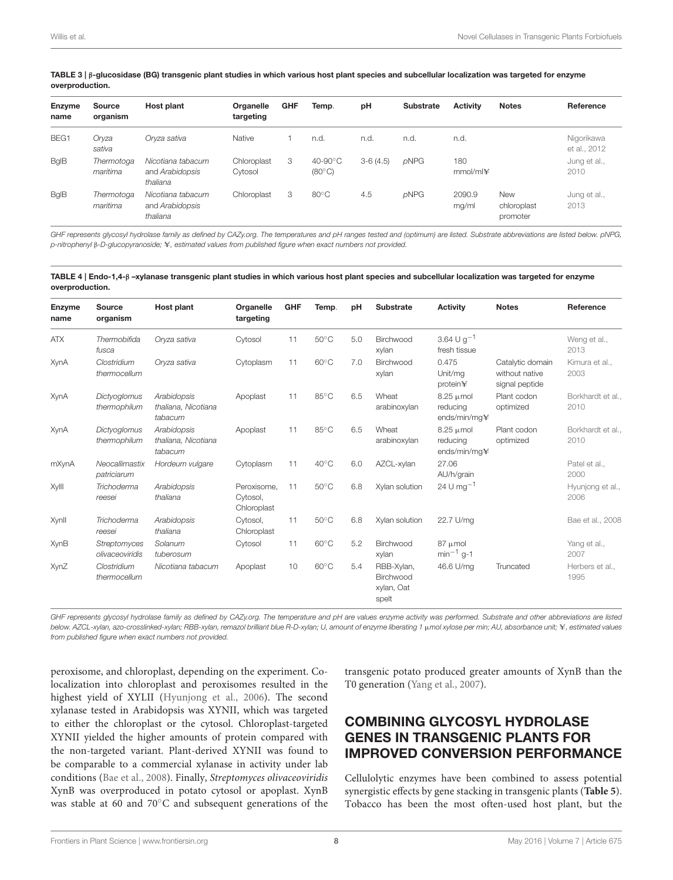| <b>Enzyme</b><br>name | Source<br>organism     | Host plant                                       | Organelle<br>targeting | <b>GHF</b> | Temp.                              | pH         | Substrate | <b>Activity</b> | <b>Notes</b>                          | Reference                  |
|-----------------------|------------------------|--------------------------------------------------|------------------------|------------|------------------------------------|------------|-----------|-----------------|---------------------------------------|----------------------------|
| BEG1                  | Oryza<br>sativa        | Oryza sativa                                     | Native                 |            | n.d.                               | n.d.       | n.d.      | n.d.            |                                       | Nigorikawa<br>et al., 2012 |
| <b>B</b> qlB          | Thermotoga<br>maritima | Nicotiana tabacum<br>and Arabidopsis<br>thaliana | Chloroplast<br>Cytosol | 3          | $40-90^\circ C$<br>$(80^{\circ}C)$ | $3-6(4.5)$ | pNPG      | 180<br>mmol/ml¥ |                                       | Jung et al.,<br>2010       |
| <b>B</b> qlB          | Thermotoga<br>maritima | Nicotiana tabacum<br>and Arabidopsis<br>thaliana | Chloroplast            | 3          | $80^{\circ}$ C                     | 4.5        | pNPG      | 2090.9<br>mg/ml | <b>New</b><br>chloroplast<br>promoter | Jung et al.,<br>2013       |

<span id="page-8-0"></span>TABLE 3 | β-glucosidase (BG) transgenic plant studies in which various host plant species and subcellular localization was targeted for enzyme overproduction.

GHF represents glycosyl hydrolase family as defined by CAZy.org. The temperatures and pH ranges tested and (optimum) are listed. Substrate abbreviations are listed below. pNPG, *p-nitrophenyl* β*-D-glucopyranoside;* U*, estimated values from published figure when exact numbers not provided.*

<span id="page-8-1"></span>TABLE 4 | Endo-1,4-β –xylanase transgenic plant studies in which various host plant species and subcellular localization was targeted for enzyme overproduction.

| Enzyme<br>name | <b>Source</b><br>organism              | Host plant                                    | Organelle<br>targeting                 | <b>GHF</b> | Temp.          | pH  | <b>Substrate</b>                               | <b>Activity</b>                            | <b>Notes</b>                                         | Reference                 |
|----------------|----------------------------------------|-----------------------------------------------|----------------------------------------|------------|----------------|-----|------------------------------------------------|--------------------------------------------|------------------------------------------------------|---------------------------|
| <b>ATX</b>     | Thermobifida<br>fusca                  | Oryza sativa                                  | Cytosol                                | 11         | $50^{\circ}$ C | 5.0 | Birchwood<br>xylan                             | 3.64 U $g^{-1}$<br>fresh tissue            |                                                      | Weng et al.,<br>2013      |
| XynA           | Clostridium<br>thermocellum            | Oryza sativa                                  | Cytoplasm                              | 11         | $60^{\circ}$ C | 7.0 | Birchwood<br>xylan                             | 0.475<br>Unit/mg<br>protein¥               | Catalytic domain<br>without native<br>signal peptide | Kimura et al.,<br>2003    |
| XynA           | Dictyoglomus<br>thermophilum           | Arabidopsis<br>thaliana, Nicotiana<br>tabacum | Apoplast                               | 11         | $85^{\circ}$ C | 6.5 | Wheat<br>arabinoxylan                          | $8.25 \mu$ mol<br>reducing<br>ends/min/mq¥ | Plant codon<br>optimized                             | Borkhardt et al.,<br>2010 |
| XynA           | Dictyoglomus<br>thermophilum           | Arabidopsis<br>thaliana, Nicotiana<br>tabacum | Apoplast                               | 11         | $85^{\circ}$ C | 6.5 | Wheat<br>arabinoxylan                          | $8.25 \mu$ mol<br>reducing<br>ends/min/mq¥ | Plant codon<br>optimized                             | Borkhardt et al.,<br>2010 |
| mXynA          | Neocallimastix<br>patriciarum          | Hordeum vulgare                               | Cytoplasm                              | 11         | $40^{\circ}$ C | 6.0 | AZCL-xylan                                     | 27.06<br>AU/h/grain                        |                                                      | Patel et al.,<br>2000     |
| Xylll          | Trichoderma<br>reesei                  | Arabidopsis<br>thaliana                       | Peroxisome.<br>Cytosol.<br>Chloroplast | 11         | $50^{\circ}$ C | 6.8 | Xylan solution                                 | 24 U mg <sup><math>-1</math></sup>         |                                                      | Hyunjong et al.,<br>2006  |
| Xynll          | Trichoderma<br>reesei                  | Arabidopsis<br>thaliana                       | Cytosol.<br>Chloroplast                | 11         | $50^{\circ}$ C | 6.8 | Xylan solution                                 | 22.7 U/mg                                  |                                                      | Bae et al., 2008          |
| XynB           | <b>Streptomyces</b><br>olivaceoviridis | Solanum<br>tuberosum                          | Cytosol                                | 11         | $60^{\circ}$ C | 5.2 | Birchwood<br>xylan                             | 87 µmol<br>$min^{-1}$ g-1                  |                                                      | Yang et al.,<br>2007      |
| XynZ           | Clostridium<br>thermocellum            | Nicotiana tabacum                             | Apoplast                               | 10         | $60^{\circ}$ C | 5.4 | RBB-Xylan,<br>Birchwood<br>xylan, Oat<br>spelt | 46.6 U/mg                                  | Truncated                                            | Herbers et al.,<br>1995   |

*GHF represents glycosyl hydrolase family as defined by CAZy.org. The temperature and pH are values enzyme activity was performed. Substrate and other abbreviations are listed* below. AZCL-xylan, azo-crosslinked-xylan; RBB-xylan, remazol brilliant blue R-D-xylan; U, amount of enzyme liberating 1 μmol xylose per min; AU, absorbance unit; ¥, estimated values *from published figure when exact numbers not provided.*

peroxisome, and chloroplast, depending on the experiment. Colocalization into chloroplast and peroxisomes resulted in the highest yield of XYLII [\(Hyunjong et al., 2006\)](#page-15-24). The second xylanase tested in Arabidopsis was XYNII, which was targeted to either the chloroplast or the cytosol. Chloroplast-targeted XYNII yielded the higher amounts of protein compared with the non-targeted variant. Plant-derived XYNII was found to be comparable to a commercial xylanase in activity under lab conditions [\(Bae et al., 2008\)](#page-15-25). Finally, Streptomyces olivaceoviridis XynB was overproduced in potato cytosol or apoplast. XynB was stable at 60 and 70◦C and subsequent generations of the transgenic potato produced greater amounts of XynB than the T0 generation [\(Yang et al., 2007\)](#page-18-7).

## COMBINING GLYCOSYL HYDROLASE GENES IN TRANSGENIC PLANTS FOR IMPROVED CONVERSION PERFORMANCE

Cellulolytic enzymes have been combined to assess potential synergistic effects by gene stacking in transgenic plants (**[Table 5](#page-10-0)**). Tobacco has been the most often-used host plant, but the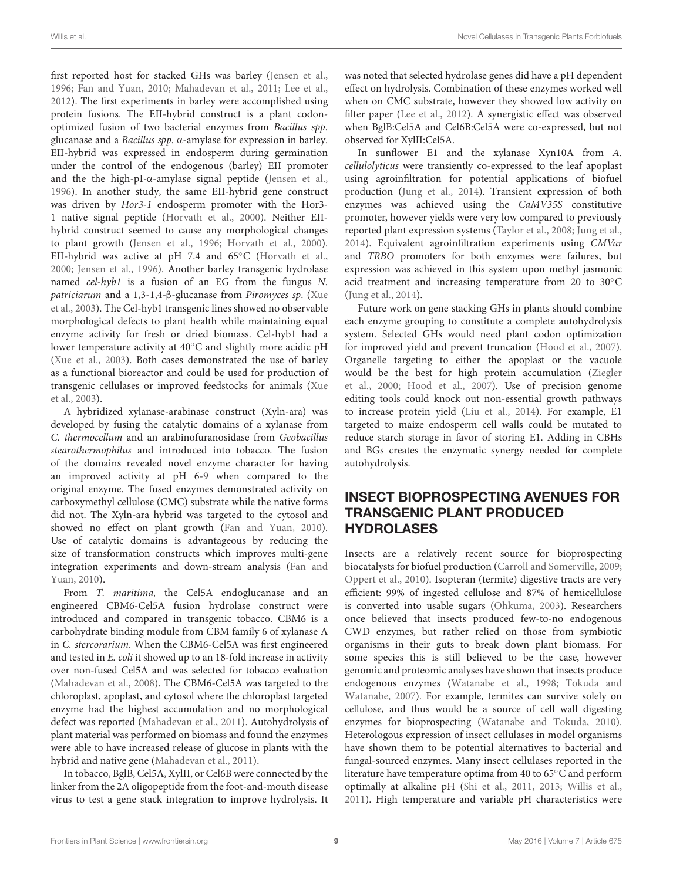first reported host for stacked GHs was barley [\(Jensen et al.,](#page-16-14) [1996;](#page-16-14) [Fan and Yuan, 2010;](#page-15-26) [Mahadevan et al., 2011;](#page-16-15) [Lee et al.,](#page-16-16) [2012\)](#page-16-16). The first experiments in barley were accomplished using protein fusions. The EII-hybrid construct is a plant codonoptimized fusion of two bacterial enzymes from Bacillus spp. glucanase and a Bacillus spp. α-amylase for expression in barley. EII-hybrid was expressed in endosperm during germination under the control of the endogenous (barley) EII promoter and the the high-pI- $\alpha$ -amylase signal peptide [\(Jensen et al.,](#page-16-14) [1996\)](#page-16-14). In another study, the same EII-hybrid gene construct was driven by Hor3-1 endosperm promoter with the Hor3- 1 native signal peptide [\(Horvath et al., 2000\)](#page-15-27). Neither EIIhybrid construct seemed to cause any morphological changes to plant growth [\(Jensen et al., 1996;](#page-16-14) [Horvath et al., 2000\)](#page-15-27). EII-hybrid was active at pH 7.4 and 65◦C [\(Horvath et al.,](#page-15-27) [2000;](#page-15-27) [Jensen et al., 1996\)](#page-16-14). Another barley transgenic hydrolase named cel-hyb1 is a fusion of an EG from the fungus N. patriciarum and a 1,3-1,4-β-glucanase from Piromyces sp. (Xue et al., [2003\)](#page-18-8). The Cel-hyb1 transgenic lines showed no observable morphological defects to plant health while maintaining equal enzyme activity for fresh or dried biomass. Cel-hyb1 had a lower temperature activity at 40◦C and slightly more acidic pH [\(Xue et al., 2003\)](#page-18-8). Both cases demonstrated the use of barley as a functional bioreactor and could be used for production of transgenic cellulases or improved feedstocks for animals (Xue et al., [2003\)](#page-18-8).

A hybridized xylanase-arabinase construct (Xyln-ara) was developed by fusing the catalytic domains of a xylanase from C. thermocellum and an arabinofuranosidase from Geobacillus stearothermophilus and introduced into tobacco. The fusion of the domains revealed novel enzyme character for having an improved activity at pH 6-9 when compared to the original enzyme. The fused enzymes demonstrated activity on carboxymethyl cellulose (CMC) substrate while the native forms did not. The Xyln-ara hybrid was targeted to the cytosol and showed no effect on plant growth [\(Fan and Yuan, 2010\)](#page-15-26). Use of catalytic domains is advantageous by reducing the size of transformation constructs which improves multi-gene integration experiments and down-stream analysis (Fan and Yuan, [2010\)](#page-15-26).

From T. maritima, the Cel5A endoglucanase and an engineered CBM6-Cel5A fusion hydrolase construct were introduced and compared in transgenic tobacco. CBM6 is a carbohydrate binding module from CBM family 6 of xylanase A in C. stercorarium. When the CBM6-Cel5A was first engineered and tested in E. coli it showed up to an 18-fold increase in activity over non-fused Cel5A and was selected for tobacco evaluation [\(Mahadevan et al., 2008\)](#page-16-17). The CBM6-Cel5A was targeted to the chloroplast, apoplast, and cytosol where the chloroplast targeted enzyme had the highest accumulation and no morphological defect was reported [\(Mahadevan et al., 2011\)](#page-16-15). Autohydrolysis of plant material was performed on biomass and found the enzymes were able to have increased release of glucose in plants with the hybrid and native gene [\(Mahadevan et al., 2011\)](#page-16-15).

In tobacco, BglB, Cel5A, XylII, or Cel6B were connected by the linker from the 2A oligopeptide from the foot-and-mouth disease virus to test a gene stack integration to improve hydrolysis. It was noted that selected hydrolase genes did have a pH dependent effect on hydrolysis. Combination of these enzymes worked well when on CMC substrate, however they showed low activity on filter paper [\(Lee et al., 2012\)](#page-16-16). A synergistic effect was observed when BglB:Cel5A and Cel6B:Cel5A were co-expressed, but not observed for XylII:Cel5A.

In sunflower E1 and the xylanase Xyn10A from A. cellulolyticus were transiently co-expressed to the leaf apoplast using agroinfiltration for potential applications of biofuel production [\(Jung et al., 2014\)](#page-16-6). Transient expression of both enzymes was achieved using the CaMV35S constitutive promoter, however yields were very low compared to previously reported plant expression systems [\(Taylor et al., 2008;](#page-17-0) [Jung et al.,](#page-16-6) [2014\)](#page-16-6). Equivalent agroinfiltration experiments using CMVar and TRBO promoters for both enzymes were failures, but expression was achieved in this system upon methyl jasmonic acid treatment and increasing temperature from 20 to 30◦C [\(Jung et al., 2014\)](#page-16-6).

Future work on gene stacking GHs in plants should combine each enzyme grouping to constitute a complete autohydrolysis system. Selected GHs would need plant codon optimization for improved yield and prevent truncation [\(Hood et al., 2007\)](#page-15-15). Organelle targeting to either the apoplast or the vacuole would be the best for high protein accumulation (Ziegler et al., [2000;](#page-18-2) [Hood et al., 2007\)](#page-15-15). Use of precision genome editing tools could knock out non-essential growth pathways to increase protein yield [\(Liu et al., 2014\)](#page-16-18). For example, E1 targeted to maize endosperm cell walls could be mutated to reduce starch storage in favor of storing E1. Adding in CBHs and BGs creates the enzymatic synergy needed for complete autohydrolysis.

## INSECT BIOPROSPECTING AVENUES FOR TRANSGENIC PLANT PRODUCED **HYDROLASES**

Insects are a relatively recent source for bioprospecting biocatalysts for biofuel production [\(Carroll and Somerville, 2009;](#page-15-28) [Oppert et al., 2010\)](#page-17-9). Isopteran (termite) digestive tracts are very efficient: 99% of ingested cellulose and 87% of hemicellulose is converted into usable sugars [\(Ohkuma, 2003\)](#page-17-10). Researchers once believed that insects produced few-to-no endogenous CWD enzymes, but rather relied on those from symbiotic organisms in their guts to break down plant biomass. For some species this is still believed to be the case, however genomic and proteomic analyses have shown that insects produce endogenous enzymes [\(Watanabe et al., 1998;](#page-17-11) Tokuda and Watanabe, [2007\)](#page-17-12). For example, termites can survive solely on cellulose, and thus would be a source of cell wall digesting enzymes for bioprospecting [\(Watanabe and Tokuda, 2010\)](#page-17-13). Heterologous expression of insect cellulases in model organisms have shown them to be potential alternatives to bacterial and fungal-sourced enzymes. Many insect cellulases reported in the literature have temperature optima from 40 to 65◦C and perform optimally at alkaline pH [\(Shi et al., 2011,](#page-17-14) [2013;](#page-17-15) [Willis et al.,](#page-17-16) [2011\)](#page-17-16). High temperature and variable pH characteristics were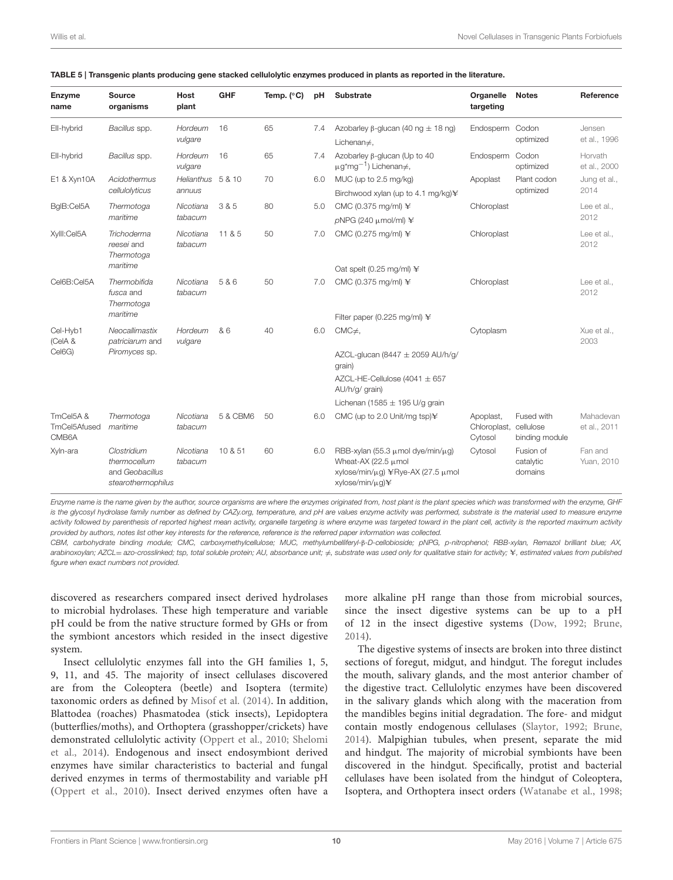| <b>Enzyme</b><br>name             | <b>Source</b><br>organisms                                           | Host<br>plant               | <b>GHF</b> | Temp. $(^{\circ}C)$ | pH  | <b>Substrate</b>                                                                                                                            | Organelle<br>targeting                         | <b>Notes</b>                      | Reference                 |  |
|-----------------------------------|----------------------------------------------------------------------|-----------------------------|------------|---------------------|-----|---------------------------------------------------------------------------------------------------------------------------------------------|------------------------------------------------|-----------------------------------|---------------------------|--|
| Ell-hybrid                        | Bacillus spp.                                                        | Hordeum<br>vulgare          | 16         | 65                  | 7.4 | Azobarley $\beta$ -glucan (40 ng $\pm$ 18 ng)<br>Lichenan $\neq$ ,                                                                          | Endosperm Codon                                | optimized                         | Jensen<br>et al., 1996    |  |
| Ell-hybrid                        | Bacillus spp.                                                        | Hordeum<br>vulgare          | 16         | 65                  | 7.4 | Azobarley $\beta$ -glucan (Up to 40<br>$\mu$ g*mg <sup>-1</sup> ) Lichenan≠,                                                                | Endosperm Codon                                | optimized                         | Horvath<br>et al., 2000   |  |
| E1 & Xyn10A                       | Acidothermus<br>cellulolyticus                                       | Helianthus 5 & 10<br>annuus |            | 70                  | 6.0 | MUC (up to 2.5 mg/kg)<br>Birchwood xylan (up to 4.1 mg/kg)\                                                                                 | Apoplast                                       | Plant codon<br>optimized          | Jung et al.,<br>2014      |  |
| BgIB:Cel5A                        | Thermotoga<br>maritime                                               | Nicotiana<br>tabacum        | 3 & 5      | 80                  | 5.0 | CMC (0.375 mg/ml) ¥<br>$pNPG$ (240 $\mu$ mol/ml) ¥                                                                                          | Chloroplast                                    |                                   | Lee et al<br>2012         |  |
| Xylll:Cel5A                       | Trichoderma<br>reesei and<br>Thermotoga                              | Nicotiana<br>tabacum        | 11 & 5     | 50                  | 7.0 | CMC (0.275 mg/ml) ¥                                                                                                                         | Chloroplast                                    |                                   | Lee et al.,<br>2012       |  |
|                                   | maritime                                                             |                             |            |                     |     | Oat spelt (0.25 mg/ml) $\angle$                                                                                                             |                                                |                                   |                           |  |
| Cel6B:Cel5A                       | Thermobifida<br>fusca and<br>Thermotoga                              | Nicotiana<br>tabacum        | 5 & 6      | 50                  | 7.0 | CMC (0.375 mg/ml) ¥                                                                                                                         | Chloroplast                                    |                                   | Lee et al.,<br>2012       |  |
|                                   | maritime                                                             |                             |            |                     |     | Filter paper (0.225 mg/ml) $\angle$                                                                                                         |                                                |                                   |                           |  |
| Cel-Hyb1<br>(CelA &               | Neocallimastix<br>patriciarum and                                    | Hordeum<br>vulgare          | & 6        | 40                  | 6.0 | $CMC\neq$ ,                                                                                                                                 | Cytoplasm                                      |                                   | Xue et al.,<br>2003       |  |
| Cel6G)                            | Piromyces sp.                                                        |                             |            |                     |     | AZCL-glucan (8447 $\pm$ 2059 AU/h/g/<br>grain)                                                                                              |                                                |                                   |                           |  |
|                                   |                                                                      |                             |            |                     |     | AZCL-HE-Cellulose (4041 $\pm$ 657<br>AU/h/g/ grain)                                                                                         |                                                |                                   |                           |  |
|                                   |                                                                      |                             |            |                     |     | Lichenan (1585 $\pm$ 195 U/g grain                                                                                                          |                                                |                                   |                           |  |
| TmCel5A&<br>TmCel5Afused<br>CMB6A | Thermotoga<br>maritime                                               | Nicotiana<br>tabacum        | 5 & CBM6   | 50                  | 6.0 | CMC (up to 2.0 Unit/mg tsp)\                                                                                                                | Apoplast,<br>Chloroplast, cellulose<br>Cytosol | Fused with<br>binding module      | Mahadevan<br>et al., 2011 |  |
| Xyln-ara                          | Clostridium<br>thermocellum<br>and Geobacillus<br>stearothermophilus | Nicotiana<br>tabacum        | 10 & 51    | 60                  | 6.0 | RBB-xylan (55.3 $\mu$ mol dye/min/ $\mu$ g)<br>Wheat-AX (22.5 µmol<br>xylose/min/μg) ¥Rye-AX (27.5 μmol<br>$xy$ lose/min/ $\mu$ q) $\angle$ | Cytosol                                        | Fusion of<br>catalytic<br>domains | Fan and<br>Yuan, 2010     |  |

<span id="page-10-0"></span>

| TABLE 5   Transgenic plants producing gene stacked cellulolytic enzymes produced in plants as reported in the literature. |  |
|---------------------------------------------------------------------------------------------------------------------------|--|
|---------------------------------------------------------------------------------------------------------------------------|--|

*Enzyme name is the name given by the author, source organisms are where the enzymes originated from, host plant is the plant species which was transformed with the enzyme, GHF is the glycosyl hydrolase family number as defined by CAZy.org, temperature, and pH are values enzyme activity was performed, substrate is the material used to measure enzyme activity followed by parenthesis of reported highest mean activity, organelle targeting is where enzyme was targeted toward in the plant cell, activity is the reported maximum activity provided by authors, notes list other key interests for the reference, reference is the referred paper information was collected.*

*CBM, carbohydrate binding module; CMC, carboxymethylcellulose; MUC, methylumbelliferyl-*β*-D-cellobioside; pNPG, p-nitrophenol; RBB-xylan, Remazol brilliant blue; AX, arabinoxoylan; AZCL*= *azo-crosslinked; tsp, total soluble protein; AU, absorbance unit;*  $≠$ *, substrate was used only for qualitative stain for activity; ¥, estimated values from published figure when exact numbers not provided.*

discovered as researchers compared insect derived hydrolases to microbial hydrolases. These high temperature and variable pH could be from the native structure formed by GHs or from the symbiont ancestors which resided in the insect digestive system.

Insect cellulolytic enzymes fall into the GH families 1, 5, 9, 11, and 45. The majority of insect cellulases discovered are from the Coleoptera (beetle) and Isoptera (termite) taxonomic orders as defined by [Misof et al. \(2014\)](#page-16-19). In addition, Blattodea (roaches) Phasmatodea (stick insects), Lepidoptera (butterflies/moths), and Orthoptera (grasshopper/crickets) have demonstrated cellulolytic activity [\(Oppert et al., 2010;](#page-17-9) Shelomi et al., [2014\)](#page-17-17). Endogenous and insect endosymbiont derived enzymes have similar characteristics to bacterial and fungal derived enzymes in terms of thermostability and variable pH [\(Oppert et al., 2010\)](#page-17-9). Insect derived enzymes often have a

more alkaline pH range than those from microbial sources, since the insect digestive systems can be up to a pH of 12 in the insect digestive systems [\(Dow, 1992;](#page-15-29) [Brune,](#page-15-30) [2014\)](#page-15-30).

The digestive systems of insects are broken into three distinct sections of foregut, midgut, and hindgut. The foregut includes the mouth, salivary glands, and the most anterior chamber of the digestive tract. Cellulolytic enzymes have been discovered in the salivary glands which along with the maceration from the mandibles begins initial degradation. The fore- and midgut contain mostly endogenous cellulases [\(Slaytor, 1992;](#page-17-18) [Brune,](#page-15-30) [2014\)](#page-15-30). Malpighian tubules, when present, separate the mid and hindgut. The majority of microbial symbionts have been discovered in the hindgut. Specifically, protist and bacterial cellulases have been isolated from the hindgut of Coleoptera, Isoptera, and Orthoptera insect orders [\(Watanabe et al., 1998;](#page-17-11)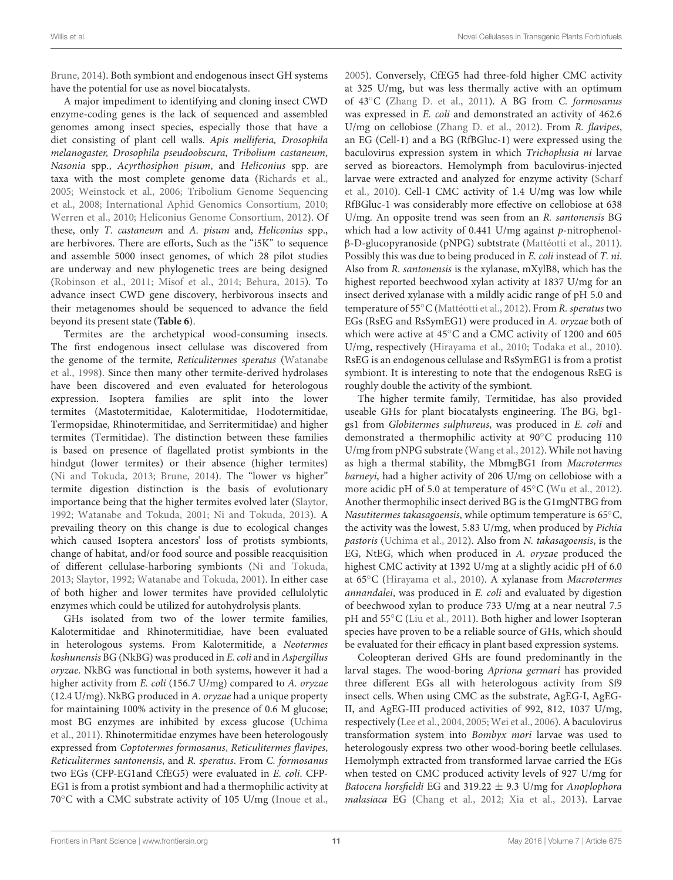[Brune, 2014\)](#page-15-30). Both symbiont and endogenous insect GH systems have the potential for use as novel biocatalysts.

A major impediment to identifying and cloning insect CWD enzyme-coding genes is the lack of sequenced and assembled genomes among insect species, especially those that have a diet consisting of plant cell walls. Apis melliferia, Drosophila melanogaster, Drosophila pseudoobscura, Tribolium castaneum, Nasonia spp., Acyrthosiphon pisum, and Heliconius spp. are taxa with the most complete genome data [\(Richards et al.,](#page-17-19) [2005;](#page-17-19) [Weinstock et al., 2006;](#page-17-20) Tribolium Genome Sequencing et al., [2008;](#page-17-21) [International Aphid Genomics Consortium, 2010;](#page-16-20) [Werren et al., 2010;](#page-17-22) [Heliconius Genome Consortium, 2012\)](#page-15-31). Of these, only T. castaneum and A. pisum and, Heliconius spp., are herbivores. There are efforts, Such as the "i5K" to sequence and assemble 5000 insect genomes, of which 28 pilot studies are underway and new phylogenetic trees are being designed [\(Robinson et al., 2011;](#page-17-23) [Misof et al., 2014;](#page-16-19) [Behura, 2015\)](#page-15-32). To advance insect CWD gene discovery, herbivorous insects and their metagenomes should be sequenced to advance the field beyond its present state (**[Table 6](#page-12-0)**).

Termites are the archetypical wood-consuming insects. The first endogenous insect cellulase was discovered from the genome of the termite, Reticulitermes speratus (Watanabe et al., [1998\)](#page-17-11). Since then many other termite-derived hydrolases have been discovered and even evaluated for heterologous expression. Isoptera families are split into the lower termites (Mastotermitidae, Kalotermitidae, Hodotermitidae, Termopsidae, Rhinotermitidae, and Serritermitidae) and higher termites (Termitidae). The distinction between these families is based on presence of flagellated protist symbionts in the hindgut (lower termites) or their absence (higher termites) [\(Ni and Tokuda, 2013;](#page-16-21) [Brune, 2014\)](#page-15-30). The "lower vs higher" termite digestion distinction is the basis of evolutionary importance being that the higher termites evolved later [\(Slaytor,](#page-17-18) [1992;](#page-17-18) [Watanabe and Tokuda, 2001;](#page-17-24) [Ni and Tokuda, 2013\)](#page-16-21). A prevailing theory on this change is due to ecological changes which caused Isoptera ancestors' loss of protists symbionts, change of habitat, and/or food source and possible reacquisition of different cellulase-harboring symbionts [\(Ni and Tokuda,](#page-16-21) [2013;](#page-16-21) [Slaytor, 1992;](#page-17-18) [Watanabe and Tokuda, 2001\)](#page-17-24). In either case of both higher and lower termites have provided cellulolytic enzymes which could be utilized for autohydrolysis plants.

GHs isolated from two of the lower termite families, Kalotermitidae and Rhinotermitidiae, have been evaluated in heterologous systems. From Kalotermitide, a Neotermes koshunensis BG (NkBG) was produced in E. coli and in Aspergillus oryzae. NkBG was functional in both systems, however it had a higher activity from E. coli (156.7 U/mg) compared to A. oryzae (12.4 U/mg). NkBG produced in A. oryzae had a unique property for maintaining 100% activity in the presence of 0.6 M glucose; most BG enzymes are inhibited by excess glucose (Uchima et al., [2011\)](#page-17-25). Rhinotermitidae enzymes have been heterologously expressed from Coptotermes formosanus, Reticulitermes flavipes, Reticulitermes santonensis, and R. speratus. From C. formosanus two EGs (CFP-EG1and CfEG5) were evaluated in E. coli. CFP-EG1 is from a protist symbiont and had a thermophilic activity at 70◦C with a CMC substrate activity of 105 U/mg [\(Inoue et al.,](#page-15-33) [2005\)](#page-15-33). Conversely, CfEG5 had three-fold higher CMC activity at 325 U/mg, but was less thermally active with an optimum of 43◦C [\(Zhang D. et al., 2011\)](#page-18-9). A BG from C. formosanus was expressed in E. coli and demonstrated an activity of 462.6 U/mg on cellobiose [\(Zhang D. et al., 2012\)](#page-18-10). From R. flavipes, an EG (Cell-1) and a BG (RfBGluc-1) were expressed using the baculovirus expression system in which Trichoplusia ni larvae served as bioreactors. Hemolymph from baculovirus-injected larvae were extracted and analyzed for enzyme activity (Scharf et al., [2010\)](#page-17-26). Cell-1 CMC activity of 1.4 U/mg was low while RfBGluc-1 was considerably more effective on cellobiose at 638 U/mg. An opposite trend was seen from an R. santonensis BG which had a low activity of 0.441 U/mg against p-nitrophenolβ-D-glucopyranoside (pNPG) subtstrate [\(Mattéotti et al., 2011\)](#page-16-22). Possibly this was due to being produced in E. coli instead of T. ni. Also from R. santonensis is the xylanase, mXylB8, which has the highest reported beechwood xylan activity at 1837 U/mg for an insect derived xylanase with a mildly acidic range of pH 5.0 and temperature of 55◦C [\(Mattéotti et al., 2012\)](#page-16-23). From R. speratus two EGs (RsEG and RsSymEG1) were produced in A. oryzae both of which were active at 45◦C and a CMC activity of 1200 and 605 U/mg, respectively [\(Hirayama et al., 2010;](#page-15-34) [Todaka et al., 2010\)](#page-17-27). RsEG is an endogenous cellulase and RsSymEG1 is from a protist symbiont. It is interesting to note that the endogenous RsEG is roughly double the activity of the symbiont.

The higher termite family, Termitidae, has also provided useable GHs for plant biocatalysts engineering. The BG, bg1 gs1 from Globitermes sulphureus, was produced in E. coli and demonstrated a thermophilic activity at 90◦C producing 110 U/mg from pNPG substrate [\(Wang et al., 2012\)](#page-17-28). While not having as high a thermal stability, the MbmgBG1 from Macrotermes barneyi, had a higher activity of 206 U/mg on cellobiose with a more acidic pH of 5.0 at temperature of 45◦C [\(Wu et al., 2012\)](#page-18-11). Another thermophilic insect derived BG is the G1mgNTBG from Nasutitermes takasagoensis, while optimum temperature is 65◦C, the activity was the lowest, 5.83 U/mg, when produced by Pichia pastoris [\(Uchima et al., 2012\)](#page-17-29). Also from N. takasagoensis, is the EG, NtEG, which when produced in A. oryzae produced the highest CMC activity at 1392 U/mg at a slightly acidic pH of 6.0 at 65◦C [\(Hirayama et al., 2010\)](#page-15-34). A xylanase from Macrotermes annandalei, was produced in E. coli and evaluated by digestion of beechwood xylan to produce 733 U/mg at a near neutral 7.5 pH and 55◦C [\(Liu et al., 2011\)](#page-16-24). Both higher and lower Isopteran species have proven to be a reliable source of GHs, which should be evaluated for their efficacy in plant based expression systems.

Coleopteran derived GHs are found predominantly in the larval stages. The wood-boring Apriona germari has provided three different EGs all with heterologous activity from Sf9 insect cells. When using CMC as the substrate, AgEG-I, AgEG-II, and AgEG-III produced activities of 992, 812, 1037 U/mg, respectively [\(Lee et al., 2004,](#page-16-25) [2005;](#page-16-26) [Wei et al., 2006\)](#page-17-30). A baculovirus transformation system into Bombyx mori larvae was used to heterologously express two other wood-boring beetle cellulases. Hemolymph extracted from transformed larvae carried the EGs when tested on CMC produced activity levels of 927 U/mg for Batocera horsfieldi EG and 319.22  $\pm$  9.3 U/mg for Anoplophora malasiaca EG [\(Chang et al., 2012;](#page-15-35) [Xia et al., 2013\)](#page-18-12). Larvae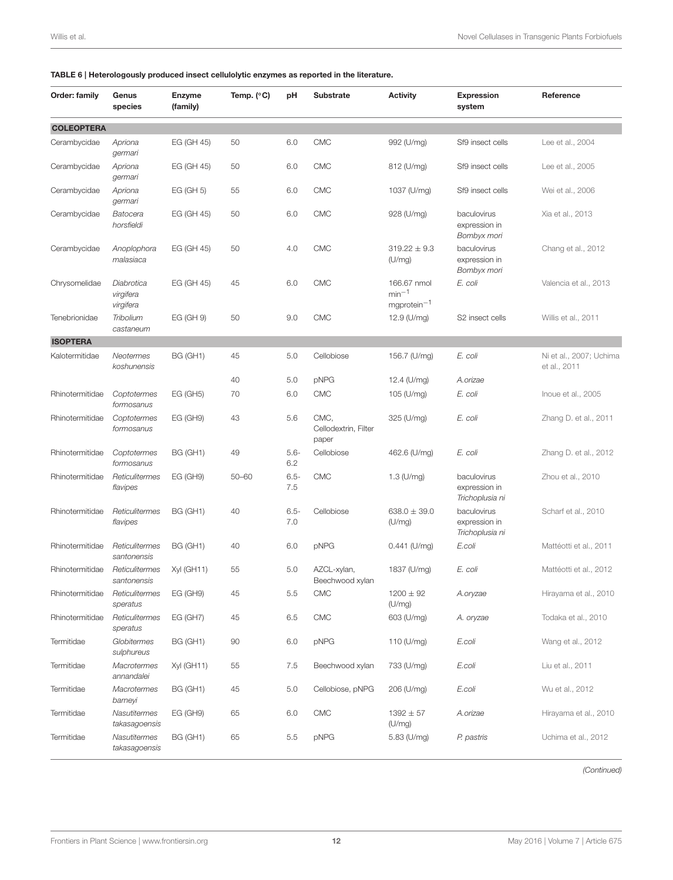#### <span id="page-12-0"></span>TABLE 6 | Heterologously produced insect cellulolytic enzymes as reported in the literature.

| Order: family     | Genus<br>species                     | <b>Enzyme</b><br>(family) | Temp. $(^{\circ}C)$ | рH             | <b>Substrate</b>                      | <b>Activity</b>                          | <b>Expression</b><br>system                     | Reference                               |
|-------------------|--------------------------------------|---------------------------|---------------------|----------------|---------------------------------------|------------------------------------------|-------------------------------------------------|-----------------------------------------|
| <b>COLEOPTERA</b> |                                      |                           |                     |                |                                       |                                          |                                                 |                                         |
| Cerambycidae      | Apriona<br>germari                   | EG (GH 45)                | 50                  | 6.0            | <b>CMC</b>                            | 992 (U/mg)                               | Sf9 insect cells                                | Lee et al., 2004                        |
| Cerambycidae      | Apriona<br>germari                   | EG (GH 45)                | 50                  | 6.0            | <b>CMC</b>                            | 812 (U/mg)                               | Sf9 insect cells                                | Lee et al., 2005                        |
| Cerambycidae      | Apriona<br>germari                   | EG (GH 5)                 | 55                  | 6.0            | <b>CMC</b>                            | 1037 (U/mg)                              | Sf9 insect cells                                | Wei et al., 2006                        |
| Cerambycidae      | Batocera<br>horsfieldi               | EG (GH 45)                | 50                  | 6.0            | <b>CMC</b>                            | 928 (U/mg)                               | baculovirus<br>expression in<br>Bombyx mori     | Xia et al., 2013                        |
| Cerambycidae      | Anoplophora<br>malasiaca             | EG (GH 45)                | 50                  | 4.0            | <b>CMC</b>                            | $319.22 \pm 9.3$<br>(U/mg)               | baculovirus<br>expression in<br>Bombyx mori     | Chang et al., 2012                      |
| Chrysomelidae     | Diabrotica<br>virgifera<br>virgifera | EG (GH 45)                | 45                  | 6.0            | <b>CMC</b>                            | 166.67 nmol<br>$min-1$<br>mgprotein $-1$ | E. coli                                         | Valencia et al., 2013                   |
| Tenebrionidae     | Tribolium<br>castaneum               | EG (GH 9)                 | 50                  | 9.0            | <b>CMC</b>                            | 12.9 (U/mg)                              | S2 insect cells                                 | Willis et al., 2011                     |
| <b>ISOPTERA</b>   |                                      |                           |                     |                |                                       |                                          |                                                 |                                         |
| Kalotermitidae    | Neotermes<br>koshunensis             | BG (GH1)                  | 45                  | 5.0            | Cellobiose                            | 156.7 (U/mg)                             | E. coli                                         | Ni et al., 2007; Uchima<br>et al., 2011 |
|                   |                                      |                           | 40                  | 5.0            | pNPG                                  | 12.4 (U/mg)                              | A.orizae                                        |                                         |
| Rhinotermitidae   | Coptotermes<br>formosanus            | <b>EG (GH5)</b>           | 70                  | 6.0            | <b>CMC</b>                            | 105 (U/mg)                               | E. coli                                         | Inoue et al., 2005                      |
| Rhinotermitidae   | Coptotermes<br>formosanus            | <b>EG (GH9)</b>           | 43                  | 5.6            | CMC.<br>Cellodextrin, Filter<br>paper | 325 (U/mg)                               | E. coli                                         | Zhang D. et al., 2011                   |
| Rhinotermitidae   | Coptotermes<br>formosanus            | BG (GH1)                  | 49                  | $5.6 -$<br>6.2 | Cellobiose                            | 462.6 (U/mg)                             | E. coli                                         | Zhang D. et al., 2012                   |
| Rhinotermitidae   | Reticulitermes<br>flavipes           | EG (GH9)                  | $50 - 60$           | $6.5 -$<br>7.5 | <b>CMC</b>                            | $1.3$ (U/mg)                             | baculovirus<br>expression in<br>Trichoplusia ni | Zhou et al., 2010                       |
| Rhinotermitidae   | Reticulitermes<br>flavipes           | BG (GH1)                  | 40                  | $6.5 -$<br>7.0 | Cellobiose                            | $638.0 \pm 39.0$<br>(U/mg)               | baculovirus<br>expression in<br>Trichoplusia ni | Scharf et al., 2010                     |
| Rhinotermitidae   | Reticulitermes<br>santonensis        | BG (GH1)                  | 40                  | 6.0            | pNPG                                  | $0.441$ (U/mg)                           | E.coli                                          | Mattéotti et al., 2011                  |
| Rhinotermitidae   | Reticulitermes<br>santonensis        | Xyl (GH11)                | 55                  | 5.0            | AZCL-xylan,<br>Beechwood xylan        | 1837 (U/mg)                              | E. coli                                         | Mattéotti et al., 2012                  |
| Rhinotermitidae   | Reticulitermes<br>speratus           | EG (GH9)                  | 45                  | 5.5            | <b>CMC</b>                            | $1200 \pm 92$<br>(U/mg)                  | A.oryzae                                        | Hirayama et al., 2010                   |
| Rhinotermitidae   | Reticulitermes<br>speratus           | <b>EG (GH7)</b>           | 45                  | 6.5            | <b>CMC</b>                            | 603 (U/mg)                               | A. oryzae                                       | Todaka et al., 2010                     |
| Termitidae        | Globitermes<br>sulphureus            | <b>BG (GH1)</b>           | 90                  | 6.0            | pNPG                                  | 110 (U/mg)                               | E.coli                                          | Wang et al., 2012                       |
| Termitidae        | Macrotermes<br>annandalei            | Xyl (GH11)                | 55                  | 7.5            | Beechwood xylan                       | 733 (U/mg)                               | E.coli                                          | Liu et al., 2011                        |
| Termitidae        | <b>Macrotermes</b><br>barneyi        | BG (GH1)                  | 45                  | 5.0            | Cellobiose, pNPG                      | 206 (U/mg)                               | E.coli                                          | Wu et al., 2012                         |
| Termitidae        | Nasutitermes<br>takasagoensis        | EG (GH9)                  | 65                  | 6.0            | <b>CMC</b>                            | $1392 \pm 57$<br>(U/mg)                  | A.orizae                                        | Hirayama et al., 2010                   |
| Termitidae        | Nasutitermes<br>takasagoensis        | BG (GH1)                  | 65                  | 5.5            | pNPG                                  | 5.83 (U/mg)                              | P. pastris                                      | Uchima et al., 2012                     |

*(Continued)*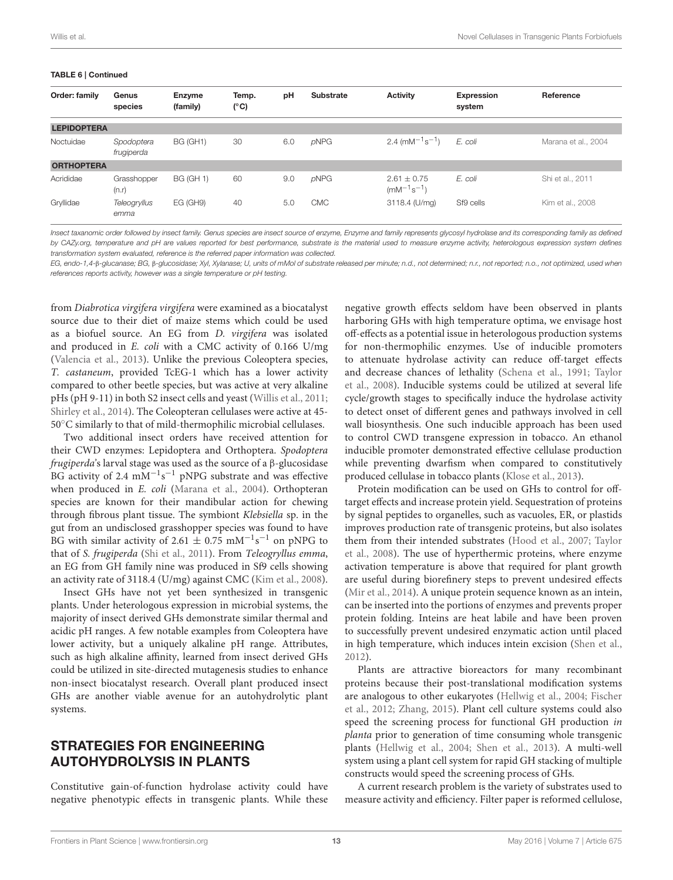#### TABLE 6 | Continued

| Order: family      | Genus<br>species         | Enzyme<br>(family) | Temp.<br>$(^{\circ}C)$ | pH  | <b>Substrate</b> | <b>Activity</b>                                                   | Expression<br>system | Reference           |
|--------------------|--------------------------|--------------------|------------------------|-----|------------------|-------------------------------------------------------------------|----------------------|---------------------|
| <b>LEPIDOPTERA</b> |                          |                    |                        |     |                  |                                                                   |                      |                     |
| Noctuidae          | Spodoptera<br>frugiperda | BG (GH1)           | 30                     | 6.0 | $\rho$ NPG       | 2.4 (mM <sup><math>-1</math></sup> s <sup><math>-1</math></sup> ) | E. coli              | Marana et al., 2004 |
| <b>ORTHOPTERA</b>  |                          |                    |                        |     |                  |                                                                   |                      |                     |
| Acrididae          | Grasshopper<br>(n.r)     | <b>BG (GH 1)</b>   | 60                     | 9.0 | $\rho$ NPG       | $2.61 \pm 0.75$<br>$(mM^{-1}s^{-1})$                              | E. coli              | Shi et al., 2011    |
| Gryllidae          | Teleogryllus<br>emma     | EG(GH9)            | 40                     | 5.0 | <b>CMC</b>       | 3118.4 (U/mg)                                                     | Sf9 cells            | Kim et al., 2008    |

*Insect taxanomic order followed by insect family. Genus species are insect source of enzyme, Enzyme and family represents glycosyl hydrolase and its corresponding family as defined by CAZy.org, temperature and pH are values reported for best performance, substrate is the material used to measure enzyme activity, heterologous expression system defines transformation system evaluated, reference is the referred paper information was collected.*

*EG, endo-1,4-*β*-glucanase; BG,* β*-glucosidase; Xyl, Xylanase; U, units of mMol of substrate released per minute; n.d., not determined; n.r., not reported; n.o., not optimized, used when references reports activity, however was a single temperature or pH testing.*

from Diabrotica virgifera virgifera were examined as a biocatalyst source due to their diet of maize stems which could be used as a biofuel source. An EG from D. virgifera was isolated and produced in E. coli with a CMC activity of 0.166 U/mg [\(Valencia et al., 2013\)](#page-17-31). Unlike the previous Coleoptera species, T. castaneum, provided TcEG-1 which has a lower activity compared to other beetle species, but was active at very alkaline pHs (pH 9-11) in both S2 insect cells and yeast [\(Willis et al., 2011;](#page-17-16) [Shirley et al., 2014\)](#page-17-32). The Coleopteran cellulases were active at 45- 50◦C similarly to that of mild-thermophilic microbial cellulases.

Two additional insect orders have received attention for their CWD enzymes: Lepidoptera and Orthoptera. Spodoptera frugiperda's larval stage was used as the source of a β-glucosidase BG activity of 2.4 mM<sup>-1</sup>s<sup>-1</sup> pNPG substrate and was effective when produced in E. coli [\(Marana et al., 2004\)](#page-16-28). Orthopteran species are known for their mandibular action for chewing through fibrous plant tissue. The symbiont Klebsiella sp. in the gut from an undisclosed grasshopper species was found to have BG with similar activity of 2.61  $\pm$  0.75 mM<sup>-1</sup>s<sup>-1</sup> on pNPG to that of S. frugiperda [\(Shi et al., 2011\)](#page-17-14). From Teleogryllus emma, an EG from GH family nine was produced in Sf9 cells showing an activity rate of 3118.4 (U/mg) against CMC [\(Kim et al., 2008\)](#page-16-29).

Insect GHs have not yet been synthesized in transgenic plants. Under heterologous expression in microbial systems, the majority of insect derived GHs demonstrate similar thermal and acidic pH ranges. A few notable examples from Coleoptera have lower activity, but a uniquely alkaline pH range. Attributes, such as high alkaline affinity, learned from insect derived GHs could be utilized in site-directed mutagenesis studies to enhance non-insect biocatalyst research. Overall plant produced insect GHs are another viable avenue for an autohydrolytic plant systems.

## STRATEGIES FOR ENGINEERING AUTOHYDROLYSIS IN PLANTS

Constitutive gain-of-function hydrolase activity could have negative phenotypic effects in transgenic plants. While these negative growth effects seldom have been observed in plants harboring GHs with high temperature optima, we envisage host off-effects as a potential issue in heterologous production systems for non-thermophilic enzymes. Use of inducible promoters to attenuate hydrolase activity can reduce off-target effects and decrease chances of lethality [\(Schena et al., 1991;](#page-17-33) Taylor et al., [2008\)](#page-17-0). Inducible systems could be utilized at several life cycle/growth stages to specifically induce the hydrolase activity to detect onset of different genes and pathways involved in cell wall biosynthesis. One such inducible approach has been used to control CWD transgene expression in tobacco. An ethanol inducible promoter demonstrated effective cellulase production while preventing dwarfism when compared to constitutively produced cellulase in tobacco plants [\(Klose et al., 2013\)](#page-16-9).

Protein modification can be used on GHs to control for offtarget effects and increase protein yield. Sequestration of proteins by signal peptides to organelles, such as vacuoles, ER, or plastids improves production rate of transgenic proteins, but also isolates them from their intended substrates [\(Hood et al., 2007;](#page-15-15) Taylor et al., [2008\)](#page-17-0). The use of hyperthermic proteins, where enzyme activation temperature is above that required for plant growth are useful during biorefinery steps to prevent undesired effects [\(Mir et al., 2014\)](#page-16-30). A unique protein sequence known as an intein, can be inserted into the portions of enzymes and prevents proper protein folding. Inteins are heat labile and have been proven to successfully prevent undesired enzymatic action until placed in high temperature, which induces intein excision [\(Shen et al.,](#page-17-34) [2012\)](#page-17-34).

Plants are attractive bioreactors for many recombinant proteins because their post-translational modification systems are analogous to other eukaryotes [\(Hellwig et al., 2004;](#page-15-10) Fischer et al., [2012;](#page-15-36) [Zhang, 2015\)](#page-18-14). Plant cell culture systems could also speed the screening process for functional GH production in planta prior to generation of time consuming whole transgenic plants [\(Hellwig et al., 2004;](#page-15-10) [Shen et al., 2013\)](#page-17-35). A multi-well system using a plant cell system for rapid GH stacking of multiple constructs would speed the screening process of GHs.

A current research problem is the variety of substrates used to measure activity and efficiency. Filter paper is reformed cellulose,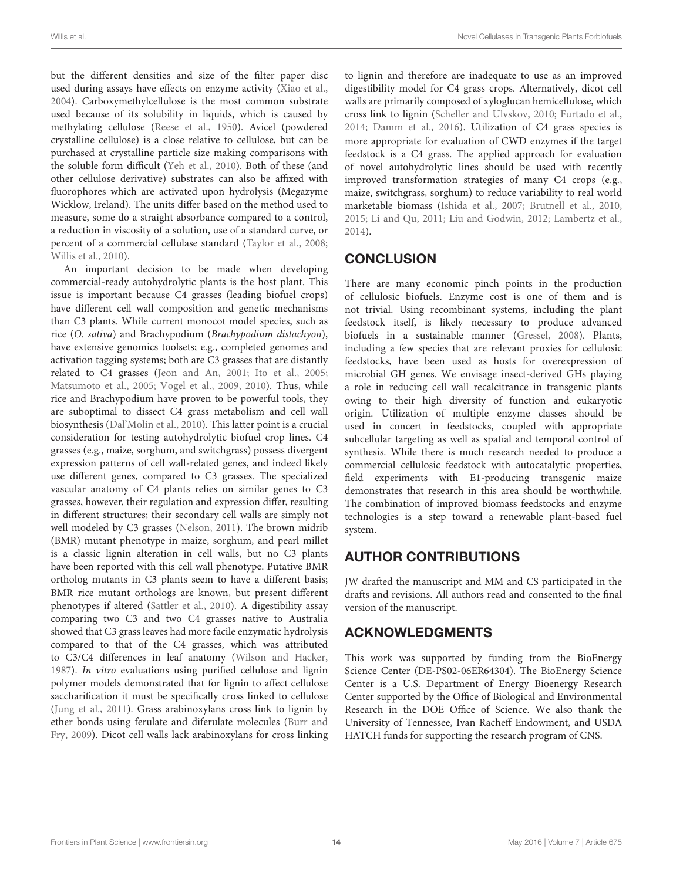but the different densities and size of the filter paper disc used during assays have effects on enzyme activity [\(Xiao et al.,](#page-18-15) [2004\)](#page-18-15). Carboxymethylcellulose is the most common substrate used because of its solubility in liquids, which is caused by methylating cellulose [\(Reese et al., 1950\)](#page-17-36). Avicel (powdered crystalline cellulose) is a close relative to cellulose, but can be purchased at crystalline particle size making comparisons with the soluble form difficult [\(Yeh et al., 2010\)](#page-18-16). Both of these (and other cellulose derivative) substrates can also be affixed with fluorophores which are activated upon hydrolysis (Megazyme Wicklow, Ireland). The units differ based on the method used to measure, some do a straight absorbance compared to a control, a reduction in viscosity of a solution, use of a standard curve, or percent of a commercial cellulase standard [\(Taylor et al., 2008;](#page-17-0) [Willis et al., 2010\)](#page-18-17).

An important decision to be made when developing commercial-ready autohydrolytic plants is the host plant. This issue is important because C4 grasses (leading biofuel crops) have different cell wall composition and genetic mechanisms than C3 plants. While current monocot model species, such as rice (O. sativa) and Brachypodium (Brachypodium distachyon), have extensive genomics toolsets; e.g., completed genomes and activation tagging systems; both are C3 grasses that are distantly related to C4 grasses [\(Jeon and An, 2001;](#page-16-31) [Ito et al., 2005;](#page-16-32) [Matsumoto et al., 2005;](#page-16-33) [Vogel et al., 2009,](#page-17-37) [2010\)](#page-17-38). Thus, while rice and Brachypodium have proven to be powerful tools, they are suboptimal to dissect C4 grass metabolism and cell wall biosynthesis [\(Dal'Molin et al., 2010\)](#page-15-37). This latter point is a crucial consideration for testing autohydrolytic biofuel crop lines. C4 grasses (e.g., maize, sorghum, and switchgrass) possess divergent expression patterns of cell wall-related genes, and indeed likely use different genes, compared to C3 grasses. The specialized vascular anatomy of C4 plants relies on similar genes to C3 grasses, however, their regulation and expression differ, resulting in different structures; their secondary cell walls are simply not well modeled by C3 grasses [\(Nelson, 2011\)](#page-16-34). The brown midrib (BMR) mutant phenotype in maize, sorghum, and pearl millet is a classic lignin alteration in cell walls, but no C3 plants have been reported with this cell wall phenotype. Putative BMR ortholog mutants in C3 plants seem to have a different basis; BMR rice mutant orthologs are known, but present different phenotypes if altered [\(Sattler et al., 2010\)](#page-17-39). A digestibility assay comparing two C3 and two C4 grasses native to Australia showed that C3 grass leaves had more facile enzymatic hydrolysis compared to that of the C4 grasses, which was attributed to C3/C4 differences in leaf anatomy [\(Wilson and Hacker,](#page-18-18) [1987\)](#page-18-18). In vitro evaluations using purified cellulose and lignin polymer models demonstrated that for lignin to affect cellulose saccharification it must be specifically cross linked to cellulose [\(Jung et al., 2011\)](#page-16-35). Grass arabinoxylans cross link to lignin by ether bonds using ferulate and diferulate molecules (Burr and Fry, [2009\)](#page-15-38). Dicot cell walls lack arabinoxylans for cross linking to lignin and therefore are inadequate to use as an improved digestibility model for C4 grass crops. Alternatively, dicot cell walls are primarily composed of xyloglucan hemicellulose, which cross link to lignin [\(Scheller and Ulvskov, 2010;](#page-17-2) [Furtado et al.,](#page-15-0) [2014;](#page-15-0) [Damm et al., 2016\)](#page-15-9). Utilization of C4 grass species is more appropriate for evaluation of CWD enzymes if the target feedstock is a C4 grass. The applied approach for evaluation of novel autohydrolytic lines should be used with recently improved transformation strategies of many C4 crops (e.g., maize, switchgrass, sorghum) to reduce variability to real world marketable biomass [\(Ishida et al., 2007;](#page-16-36) [Brutnell et al., 2010,](#page-15-39) [2015;](#page-15-40) [Li and Qu, 2011;](#page-16-37) [Liu and Godwin, 2012;](#page-16-38) [Lambertz et al.,](#page-16-4) [2014\)](#page-16-4).

## **CONCLUSION**

There are many economic pinch points in the production of cellulosic biofuels. Enzyme cost is one of them and is not trivial. Using recombinant systems, including the plant feedstock itself, is likely necessary to produce advanced biofuels in a sustainable manner [\(Gressel, 2008\)](#page-15-41). Plants, including a few species that are relevant proxies for cellulosic feedstocks, have been used as hosts for overexpression of microbial GH genes. We envisage insect-derived GHs playing a role in reducing cell wall recalcitrance in transgenic plants owing to their high diversity of function and eukaryotic origin. Utilization of multiple enzyme classes should be used in concert in feedstocks, coupled with appropriate subcellular targeting as well as spatial and temporal control of synthesis. While there is much research needed to produce a commercial cellulosic feedstock with autocatalytic properties, field experiments with E1-producing transgenic maize demonstrates that research in this area should be worthwhile. The combination of improved biomass feedstocks and enzyme technologies is a step toward a renewable plant-based fuel system.

## AUTHOR CONTRIBUTIONS

JW drafted the manuscript and MM and CS participated in the drafts and revisions. All authors read and consented to the final version of the manuscript.

## ACKNOWLEDGMENTS

This work was supported by funding from the BioEnergy Science Center (DE-PS02-06ER64304). The BioEnergy Science Center is a U.S. Department of Energy Bioenergy Research Center supported by the Office of Biological and Environmental Research in the DOE Office of Science. We also thank the University of Tennessee, Ivan Racheff Endowment, and USDA HATCH funds for supporting the research program of CNS.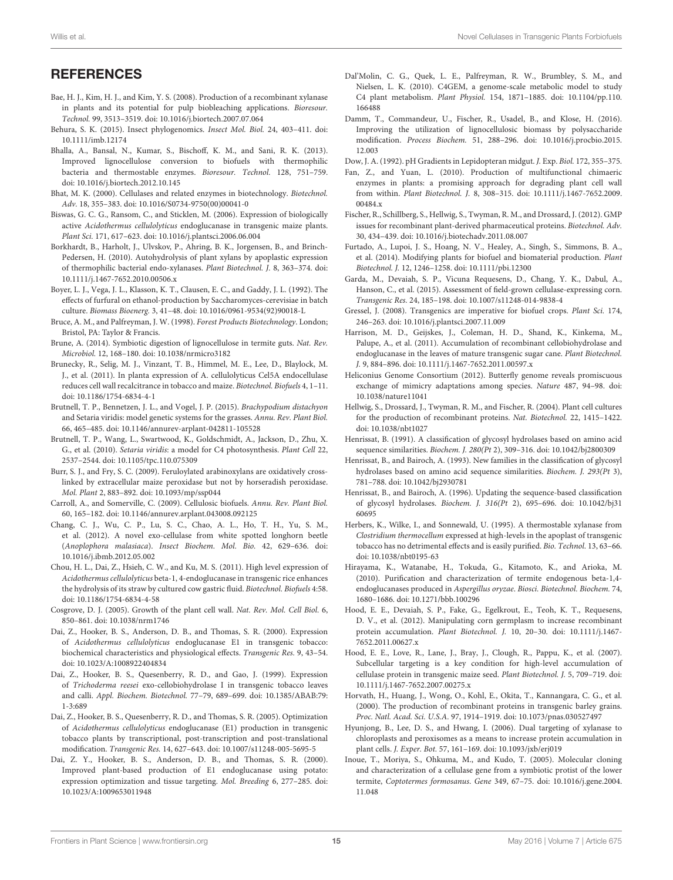#### **REFERENCES**

- <span id="page-15-25"></span>Bae, H. J., Kim, H. J., and Kim, Y. S. (2008). Production of a recombinant xylanase in plants and its potential for pulp biobleaching applications. Bioresour. Technol. 99, 3513–3519. doi: 10.1016/j.biortech.2007.07.064
- <span id="page-15-32"></span>Behura, S. K. (2015). Insect phylogenomics. Insect Mol. Biol. 24, 403–411. doi: 10.1111/imb.12174
- <span id="page-15-8"></span>Bhalla, A., Bansal, N., Kumar, S., Bischoff, K. M., and Sani, R. K. (2013). Improved lignocellulose conversion to biofuels with thermophilic bacteria and thermostable enzymes. Bioresour. Technol. 128, 751–759. doi: 10.1016/j.biortech.2012.10.145
- <span id="page-15-3"></span>Bhat, M. K. (2000). Cellulases and related enzymes in biotechnology. Biotechnol. Adv. 18, 355–383. doi: 10.1016/S0734-9750(00)00041-0
- <span id="page-15-13"></span>Biswas, G. C. G., Ransom, C., and Sticklen, M. (2006). Expression of biologically active Acidothermus cellulolyticus endoglucanase in transgenic maize plants. Plant Sci. 171, 617–623. doi: 10.1016/j.plantsci.2006.06.004
- <span id="page-15-23"></span>Borkhardt, B., Harholt, J., Ulvskov, P., Ahring, B. K., Jorgensen, B., and Brinch-Pedersen, H. (2010). Autohydrolysis of plant xylans by apoplastic expression of thermophilic bacterial endo-xylanases. Plant Biotechnol. J. 8, 363–374. doi: 10.1111/j.1467-7652.2010.00506.x
- <span id="page-15-2"></span>Boyer, L. J., Vega, J. L., Klasson, K. T., Clausen, E. C., and Gaddy, J. L. (1992). The effects of furfural on ethanol-production by Saccharomyces-cerevisiae in batch culture. Biomass Bioenerg. 3, 41–48. doi: 10.1016/0961-9534(92)90018-L
- <span id="page-15-7"></span>Bruce, A. M., and Palfreyman, J. W. (1998). Forest Products Biotechnology. London; Bristol, PA: Taylor & Francis.
- <span id="page-15-30"></span>Brune, A. (2014). Symbiotic digestion of lignocellulose in termite guts. Nat. Rev. Microbiol. 12, 168–180. doi: 10.1038/nrmicro3182
- <span id="page-15-14"></span>Brunecky, R., Selig, M. J., Vinzant, T. B., Himmel, M. E., Lee, D., Blaylock, M. J., et al. (2011). In planta expression of A. cellulolyticus Cel5A endocellulase reduces cell wall recalcitrance in tobacco and maize. Biotechnol. Biofuels 4, 1–11. doi: 10.1186/1754-6834-4-1
- <span id="page-15-40"></span>Brutnell, T. P., Bennetzen, J. L., and Vogel, J. P. (2015). Brachypodium distachyon and Setaria viridis: model genetic systems for the grasses. Annu. Rev. Plant Biol. 66, 465–485. doi: 10.1146/annurev-arplant-042811-105528
- <span id="page-15-39"></span>Brutnell, T. P., Wang, L., Swartwood, K., Goldschmidt, A., Jackson, D., Zhu, X. G., et al. (2010). Setaria viridis: a model for C4 photosynthesis. Plant Cell 22, 2537–2544. doi: 10.1105/tpc.110.075309
- <span id="page-15-38"></span>Burr, S. J., and Fry, S. C. (2009). Feruloylated arabinoxylans are oxidatively crosslinked by extracellular maize peroxidase but not by horseradish peroxidase. Mol. Plant 2, 883–892. doi: 10.1093/mp/ssp044
- <span id="page-15-28"></span>Carroll, A., and Somerville, C. (2009). Cellulosic biofuels. Annu. Rev. Plant Biol. 60, 165–182. doi: 10.1146/annurev.arplant.043008.092125
- <span id="page-15-35"></span>Chang, C. J., Wu, C. P., Lu, S. C., Chao, A. L., Ho, T. H., Yu, S. M., et al. (2012). A novel exo-cellulase from white spotted longhorn beetle (Anoplophora malasiaca). Insect Biochem. Mol. Bio. 42, 629–636. doi: 10.1016/j.ibmb.2012.05.002
- <span id="page-15-18"></span>Chou, H. L., Dai, Z., Hsieh, C. W., and Ku, M. S. (2011). High level expression of Acidothermus cellulolyticus beta-1, 4-endoglucanase in transgenic rice enhances the hydrolysis of its straw by cultured cow gastric fluid. Biotechnol. Biofuels 4:58. doi: 10.1186/1754-6834-4-58
- <span id="page-15-1"></span>Cosgrove, D. J. (2005). Growth of the plant cell wall. Nat. Rev. Mol. Cell Biol. 6, 850–861. doi: 10.1038/nrm1746
- <span id="page-15-11"></span>Dai, Z., Hooker, B. S., Anderson, D. B., and Thomas, S. R. (2000). Expression of Acidothermus cellulolyticus endoglucanase E1 in transgenic tobacco: biochemical characteristics and physiological effects. Transgenic Res. 9, 43–54. doi: 10.1023/A:1008922404834
- <span id="page-15-21"></span>Dai, Z., Hooker, B. S., Quesenberry, R. D., and Gao, J. (1999). Expression of Trichoderma reesei exo-cellobiohydrolase I in transgenic tobacco leaves and calli. Appl. Biochem. Biotechnol. 77–79, 689–699. doi: 10.1385/ABAB:79: 1-3:689
- <span id="page-15-19"></span>Dai, Z., Hooker, B. S., Quesenberry, R. D., and Thomas, S. R. (2005). Optimization of Acidothermus cellulolyticus endoglucanase (E1) production in transgenic tobacco plants by transcriptional, post-transcription and post-translational modification. Transgenic Res. 14, 627–643. doi: 10.1007/s11248-005-5695-5
- <span id="page-15-12"></span>Dai, Z. Y., Hooker, B. S., Anderson, D. B., and Thomas, S. R. (2000). Improved plant-based production of E1 endoglucanase using potato: expression optimization and tissue targeting. Mol. Breeding 6, 277–285. doi: 10.1023/A:1009653011948
- <span id="page-15-37"></span>Dal'Molin, C. G., Quek, L. E., Palfreyman, R. W., Brumbley, S. M., and Nielsen, L. K. (2010). C4GEM, a genome-scale metabolic model to study C4 plant metabolism. Plant Physiol. 154, 1871–1885. doi: 10.1104/pp.110. 166488
- <span id="page-15-9"></span>Damm, T., Commandeur, U., Fischer, R., Usadel, B., and Klose, H. (2016). Improving the utilization of lignocellulosic biomass by polysaccharide modification. Process Biochem. 51, 288–296. doi: 10.1016/j.procbio.2015. 12.003

<span id="page-15-29"></span>Dow, J. A. (1992). pH Gradients in Lepidopteran midgut. J. Exp. Biol. 172, 355–375.

- <span id="page-15-26"></span>Fan, Z., and Yuan, L. (2010). Production of multifunctional chimaeric enzymes in plants: a promising approach for degrading plant cell wall from within. Plant Biotechnol. J. 8, 308–315. doi: 10.1111/j.1467-7652.2009. 00484.x
- <span id="page-15-36"></span>Fischer, R., Schillberg, S., Hellwig, S., Twyman, R. M., and Drossard, J. (2012). GMP issues for recombinant plant-derived pharmaceutical proteins. Biotechnol. Adv. 30, 434–439. doi: 10.1016/j.biotechadv.2011.08.007
- <span id="page-15-0"></span>Furtado, A., Lupoi, J. S., Hoang, N. V., Healey, A., Singh, S., Simmons, B. A., et al. (2014). Modifying plants for biofuel and biomaterial production. Plant Biotechnol. J. 12, 1246–1258. doi: 10.1111/pbi.12300
- <span id="page-15-17"></span>Garda, M., Devaiah, S. P., Vicuna Requesens, D., Chang, Y. K., Dabul, A., Hanson, C., et al. (2015). Assessment of field-grown cellulase-expressing corn. Transgenic Res. 24, 185–198. doi: 10.1007/s11248-014-9838-4
- <span id="page-15-41"></span>Gressel, J. (2008). Transgenics are imperative for biofuel crops. Plant Sci. 174, 246–263. doi: 10.1016/j.plantsci.2007.11.009
- <span id="page-15-20"></span>Harrison, M. D., Geijskes, J., Coleman, H. D., Shand, K., Kinkema, M., Palupe, A., et al. (2011). Accumulation of recombinant cellobiohydrolase and endoglucanase in the leaves of mature transgenic sugar cane. Plant Biotechnol. J. 9, 884–896. doi: 10.1111/j.1467-7652.2011.00597.x
- <span id="page-15-31"></span>Heliconius Genome Consortium (2012). Butterfly genome reveals promiscuous exchange of mimicry adaptations among species. Nature 487, 94–98. doi: 10.1038/nature11041
- <span id="page-15-10"></span>Hellwig, S., Drossard, J., Twyman, R. M., and Fischer, R. (2004). Plant cell cultures for the production of recombinant proteins. Nat. Biotechnol. 22, 1415–1422. doi: 10.1038/nbt1027
- <span id="page-15-4"></span>Henrissat, B. (1991). A classification of glycosyl hydrolases based on amino acid sequence similarities. Biochem. J. 280(Pt 2), 309–316. doi: 10.1042/bj2800309
- <span id="page-15-5"></span>Henrissat, B., and Bairoch, A. (1993). New families in the classification of glycosyl hydrolases based on amino acid sequence similarities. Biochem. J. 293(Pt 3), 781–788. doi: 10.1042/bj2930781
- <span id="page-15-6"></span>Henrissat, B., and Bairoch, A. (1996). Updating the sequence-based classification of glycosyl hydrolases. Biochem. J. 316(Pt 2), 695–696. doi: 10.1042/bj31 60695
- <span id="page-15-22"></span>Herbers, K., Wilke, I., and Sonnewald, U. (1995). A thermostable xylanase from Clostridium thermocellum expressed at high-levels in the apoplast of transgenic tobacco has no detrimental effects and is easily purified. Bio. Technol. 13, 63–66. doi: 10.1038/nbt0195-63
- <span id="page-15-34"></span>Hirayama, K., Watanabe, H., Tokuda, G., Kitamoto, K., and Arioka, M. (2010). Purification and characterization of termite endogenous beta-1,4 endoglucanases produced in Aspergillus oryzae. Biosci. Biotechnol. Biochem. 74, 1680–1686. doi: 10.1271/bbb.100296
- <span id="page-15-16"></span>Hood, E. E., Devaiah, S. P., Fake, G., Egelkrout, E., Teoh, K. T., Requesens, D. V., et al. (2012). Manipulating corn germplasm to increase recombinant protein accumulation. Plant Biotechnol. J. 10, 20–30. doi: 10.1111/j.1467- 7652.2011.00627.x
- <span id="page-15-15"></span>Hood, E. E., Love, R., Lane, J., Bray, J., Clough, R., Pappu, K., et al. (2007). Subcellular targeting is a key condition for high-level accumulation of cellulase protein in transgenic maize seed. Plant Biotechnol. J. 5, 709–719. doi: 10.1111/j.1467-7652.2007.00275.x
- <span id="page-15-27"></span>Horvath, H., Huang, J., Wong, O., Kohl, E., Okita, T., Kannangara, C. G., et al. (2000). The production of recombinant proteins in transgenic barley grains. Proc. Natl. Acad. Sci. U.S.A. 97, 1914–1919. doi: 10.1073/pnas.030527497
- <span id="page-15-24"></span>Hyunjong, B., Lee, D. S., and Hwang, I. (2006). Dual targeting of xylanase to chloroplasts and peroxisomes as a means to increase protein accumulation in plant cells. J. Exper. Bot. 57, 161–169. doi: 10.1093/jxb/erj019
- <span id="page-15-33"></span>Inoue, T., Moriya, S., Ohkuma, M., and Kudo, T. (2005). Molecular cloning and characterization of a cellulase gene from a symbiotic protist of the lower termite, Coptotermes formosanus. Gene 349, 67–75. doi: 10.1016/j.gene.2004. 11.048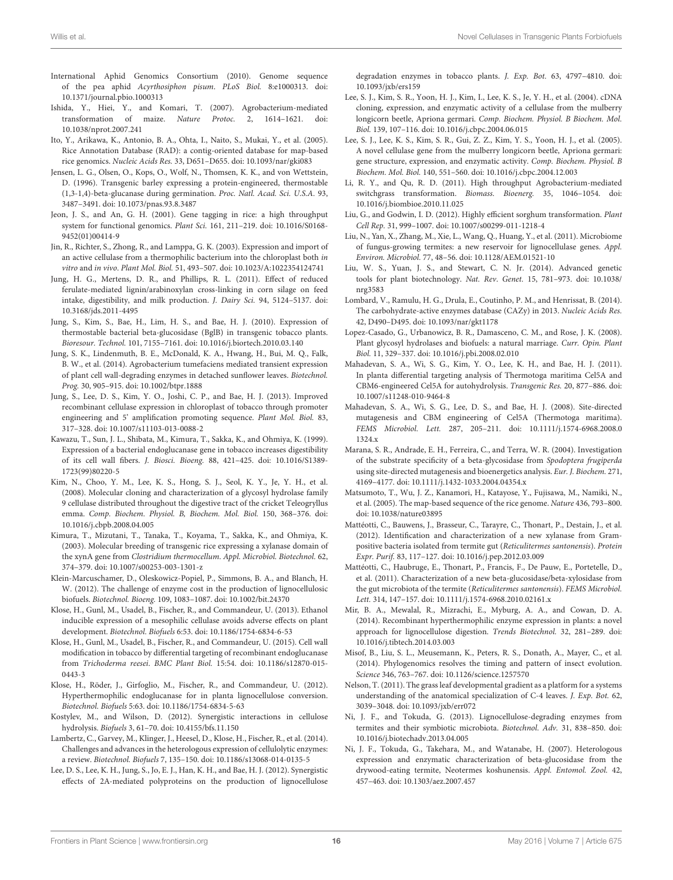- <span id="page-16-20"></span>International Aphid Genomics Consortium (2010). Genome sequence of the pea aphid Acyrthosiphon pisum. PLoS Biol. 8:e1000313. doi: 10.1371/journal.pbio.1000313
- <span id="page-16-36"></span>Ishida, Y., Hiei, Y., and Komari, T. (2007). Agrobacterium-mediated transformation of maize. Nature Protoc. 2, 1614–1621. doi: 10.1038/nprot.2007.241
- <span id="page-16-32"></span>Ito, Y., Arikawa, K., Antonio, B. A., Ohta, I., Naito, S., Mukai, Y., et al. (2005). Rice Annotation Database (RAD): a contig-oriented database for map-based rice genomics. Nucleic Acids Res. 33, D651–D655. doi: 10.1093/nar/gki083
- <span id="page-16-14"></span>Jensen, L. G., Olsen, O., Kops, O., Wolf, N., Thomsen, K. K., and von Wettstein, D. (1996). Transgenic barley expressing a protein-engineered, thermostable (1,3-1,4)-beta-glucanase during germination. Proc. Natl. Acad. Sci. U.S.A. 93, 3487–3491. doi: 10.1073/pnas.93.8.3487
- <span id="page-16-31"></span>Jeon, J. S., and An, G. H. (2001). Gene tagging in rice: a high throughput system for functional genomics. Plant Sci. 161, 211–219. doi: 10.1016/S0168- 9452(01)00414-9
- <span id="page-16-5"></span>Jin, R., Richter, S., Zhong, R., and Lamppa, G. K. (2003). Expression and import of an active cellulase from a thermophilic bacterium into the chloroplast both in vitro and in vivo. Plant Mol. Biol. 51, 493–507. doi: 10.1023/A:1022354124741
- <span id="page-16-35"></span>Jung, H. G., Mertens, D. R., and Phillips, R. L. (2011). Effect of reduced ferulate-mediated lignin/arabinoxylan cross-linking in corn silage on feed intake, digestibility, and milk production. J. Dairy Sci. 94, 5124–5137. doi: 10.3168/jds.2011-4495
- <span id="page-16-11"></span>Jung, S., Kim, S., Bae, H., Lim, H. S., and Bae, H. J. (2010). Expression of thermostable bacterial beta-glucosidase (BglB) in transgenic tobacco plants. Bioresour. Technol. 101, 7155–7161. doi: 10.1016/j.biortech.2010.03.140
- <span id="page-16-6"></span>Jung, S. K., Lindenmuth, B. E., McDonald, K. A., Hwang, H., Bui, M. Q., Falk, B. W., et al. (2014). Agrobacterium tumefaciens mediated transient expression of plant cell wall-degrading enzymes in detached sunflower leaves. Biotechnol. Prog. 30, 905–915. doi: 10.1002/btpr.1888
- <span id="page-16-12"></span>Jung, S., Lee, D. S., Kim, Y. O., Joshi, C. P., and Bae, H. J. (2013). Improved recombinant cellulase expression in chloroplast of tobacco through promoter engineering and 5' amplification promoting sequence. Plant Mol. Biol. 83, 317–328. doi: 10.1007/s11103-013-0088-2
- <span id="page-16-7"></span>Kawazu, T., Sun, J. L., Shibata, M., Kimura, T., Sakka, K., and Ohmiya, K. (1999). Expression of a bacterial endoglucanase gene in tobacco increases digestibility of its cell wall fibers. J. Biosci. Bioeng. 88, 421–425. doi: 10.1016/S1389- 1723(99)80220-5
- <span id="page-16-29"></span>Kim, N., Choo, Y. M., Lee, K. S., Hong, S. J., Seol, K. Y., Je, Y. H., et al. (2008). Molecular cloning and characterization of a glycosyl hydrolase family 9 cellulase distributed throughout the digestive tract of the cricket Teleogryllus emma. Comp. Biochem. Physiol. B, Biochem. Mol. Biol. 150, 368–376. doi: 10.1016/j.cbpb.2008.04.005
- <span id="page-16-13"></span>Kimura, T., Mizutani, T., Tanaka, T., Koyama, T., Sakka, K., and Ohmiya, K. (2003). Molecular breeding of transgenic rice expressing a xylanase domain of the xynA gene from Clostridium thermocellum. Appl. Microbiol. Biotechnol. 62, 374–379. doi: 10.1007/s00253-003-1301-z
- <span id="page-16-0"></span>Klein-Marcuschamer, D., Oleskowicz-Popiel, P., Simmons, B. A., and Blanch, H. W. (2012). The challenge of enzyme cost in the production of lignocellulosic biofuels. Biotechnol. Bioeng. 109, 1083–1087. doi: 10.1002/bit.24370
- <span id="page-16-9"></span>Klose, H., Gunl, M., Usadel, B., Fischer, R., and Commandeur, U. (2013). Ethanol inducible expression of a mesophilic cellulase avoids adverse effects on plant development. Biotechnol. Biofuels 6:53. doi: 10.1186/1754-6834-6-53
- <span id="page-16-10"></span>Klose, H., Gunl, M., Usadel, B., Fischer, R., and Commandeur, U. (2015). Cell wall modification in tobacco by differential targeting of recombinant endoglucanase from Trichoderma reesei. BMC Plant Biol. 15:54. doi: 10.1186/s12870-015- 0443-3
- <span id="page-16-8"></span>Klose, H., Röder, J., Girfoglio, M., Fischer, R., and Commandeur, U. (2012). Hyperthermophilic endoglucanase for in planta lignocellulose conversion. Biotechnol. Biofuels 5:63. doi: 10.1186/1754-6834-5-63
- <span id="page-16-3"></span>Kostylev, M., and Wilson, D. (2012). Synergistic interactions in cellulose hydrolysis. Biofuels 3, 61–70. doi: 10.4155/bfs.11.150
- <span id="page-16-4"></span>Lambertz, C., Garvey, M., Klinger, J., Heesel, D., Klose, H., Fischer, R., et al. (2014). Challenges and advances in the heterologous expression of cellulolytic enzymes: a review. Biotechnol. Biofuels 7, 135–150. doi: 10.1186/s13068-014-0135-5
- <span id="page-16-16"></span>Lee, D. S., Lee, K. H., Jung, S., Jo, E. J., Han, K. H., and Bae, H. J. (2012). Synergistic effects of 2A-mediated polyproteins on the production of lignocellulose

degradation enzymes in tobacco plants. J. Exp. Bot. 63, 4797–4810. doi: 10.1093/jxb/ers159

- <span id="page-16-25"></span>Lee, S. J., Kim, S. R., Yoon, H. J., Kim, I., Lee, K. S., Je, Y. H., et al. (2004). cDNA cloning, expression, and enzymatic activity of a cellulase from the mulberry longicorn beetle, Apriona germari. Comp. Biochem. Physiol. B Biochem. Mol. Biol. 139, 107–116. doi: 10.1016/j.cbpc.2004.06.015
- <span id="page-16-26"></span>Lee, S. J., Lee, K. S., Kim, S. R., Gui, Z. Z., Kim, Y. S., Yoon, H. J., et al. (2005). A novel cellulase gene from the mulberry longicorn beetle, Apriona germari: gene structure, expression, and enzymatic activity. Comp. Biochem. Physiol. B Biochem. Mol. Biol. 140, 551–560. doi: 10.1016/j.cbpc.2004.12.003
- <span id="page-16-37"></span>Li, R. Y., and Qu, R. D. (2011). High throughput Agrobacterium-mediated switchgrass transformation. Biomass. Bioenerg. 35, 1046–1054. doi: 10.1016/j.biombioe.2010.11.025
- <span id="page-16-38"></span>Liu, G., and Godwin, I. D. (2012). Highly efficient sorghum transformation. Plant Cell Rep. 31, 999–1007. doi: 10.1007/s00299-011-1218-4
- <span id="page-16-24"></span>Liu, N., Yan, X., Zhang, M., Xie, L., Wang, Q., Huang, Y., et al. (2011). Microbiome of fungus-growing termites: a new reservoir for lignocellulase genes. Appl. Environ. Microbiol. 77, 48–56. doi: 10.1128/AEM.01521-10
- <span id="page-16-18"></span>Liu, W. S., Yuan, J. S., and Stewart, C. N. Jr. (2014). Advanced genetic tools for plant biotechnology. Nat. Rev. Genet. 15, 781–973. doi: 10.1038/ nrg3583
- <span id="page-16-2"></span>Lombard, V., Ramulu, H. G., Drula, E., Coutinho, P. M., and Henrissat, B. (2014). The carbohydrate-active enzymes database (CAZy) in 2013. Nucleic Acids Res. 42, D490–D495. doi: 10.1093/nar/gkt1178
- <span id="page-16-1"></span>Lopez-Casado, G., Urbanowicz, B. R., Damasceno, C. M., and Rose, J. K. (2008). Plant glycosyl hydrolases and biofuels: a natural marriage. Curr. Opin. Plant Biol. 11, 329–337. doi: 10.1016/j.pbi.2008.02.010
- <span id="page-16-15"></span>Mahadevan, S. A., Wi, S. G., Kim, Y. O., Lee, K. H., and Bae, H. J. (2011). In planta differential targeting analysis of Thermotoga maritima Cel5A and CBM6-engineered Cel5A for autohydrolysis. Transgenic Res. 20, 877–886. doi: 10.1007/s11248-010-9464-8
- <span id="page-16-17"></span>Mahadevan, S. A., Wi, S. G., Lee, D. S., and Bae, H. J. (2008). Site-directed mutagenesis and CBM engineering of Cel5A (Thermotoga maritima). FEMS Microbiol. Lett. 287, 205–211. doi: 10.1111/j.1574-6968.2008.0 1324.x
- <span id="page-16-28"></span>Marana, S. R., Andrade, E. H., Ferreira, C., and Terra, W. R. (2004). Investigation of the substrate specificity of a beta-glycosidase from Spodoptera frugiperda using site-directed mutagenesis and bioenergetics analysis. Eur. J. Biochem. 271, 4169–4177. doi: 10.1111/j.1432-1033.2004.04354.x
- <span id="page-16-33"></span>Matsumoto, T., Wu, J. Z., Kanamori, H., Katayose, Y., Fujisawa, M., Namiki, N., et al. (2005). The map-based sequence of the rice genome. Nature 436, 793–800. doi: 10.1038/nature03895
- <span id="page-16-23"></span>Mattéotti, C., Bauwens, J., Brasseur, C., Tarayre, C., Thonart, P., Destain, J., et al. (2012). Identification and characterization of a new xylanase from Grampositive bacteria isolated from termite gut (Reticulitermes santonensis). Protein Expr. Purif. 83, 117–127. doi: 10.1016/j.pep.2012.03.009
- <span id="page-16-22"></span>Mattéotti, C., Haubruge, E., Thonart, P., Francis, F., De Pauw, E., Portetelle, D., et al. (2011). Characterization of a new beta-glucosidase/beta-xylosidase from the gut microbiota of the termite (Reticulitermes santonensis). FEMS Microbiol. Lett. 314, 147–157. doi: 10.1111/j.1574-6968.2010.02161.x
- <span id="page-16-30"></span>Mir, B. A., Mewalal, R., Mizrachi, E., Myburg, A. A., and Cowan, D. A. (2014). Recombinant hyperthermophilic enzyme expression in plants: a novel approach for lignocellulose digestion. Trends Biotechnol. 32, 281–289. doi: 10.1016/j.tibtech.2014.03.003
- <span id="page-16-19"></span>Misof, B., Liu, S. L., Meusemann, K., Peters, R. S., Donath, A., Mayer, C., et al. (2014). Phylogenomics resolves the timing and pattern of insect evolution. Science 346, 763–767. doi: 10.1126/science.1257570
- <span id="page-16-34"></span>Nelson, T. (2011). The grass leaf developmental gradient as a platform for a systems understanding of the anatomical specialization of C-4 leaves. J. Exp. Bot. 62, 3039–3048. doi: 10.1093/jxb/err072
- <span id="page-16-21"></span>Ni, J. F., and Tokuda, G. (2013). Lignocellulose-degrading enzymes from termites and their symbiotic microbiota. Biotechnol. Adv. 31, 838–850. doi: 10.1016/j.biotechadv.2013.04.005
- <span id="page-16-27"></span>Ni, J. F., Tokuda, G., Takehara, M., and Watanabe, H. (2007). Heterologous expression and enzymatic characterization of beta-glucosidase from the drywood-eating termite, Neotermes koshunensis. Appl. Entomol. Zool. 42, 457–463. doi: 10.1303/aez.2007.457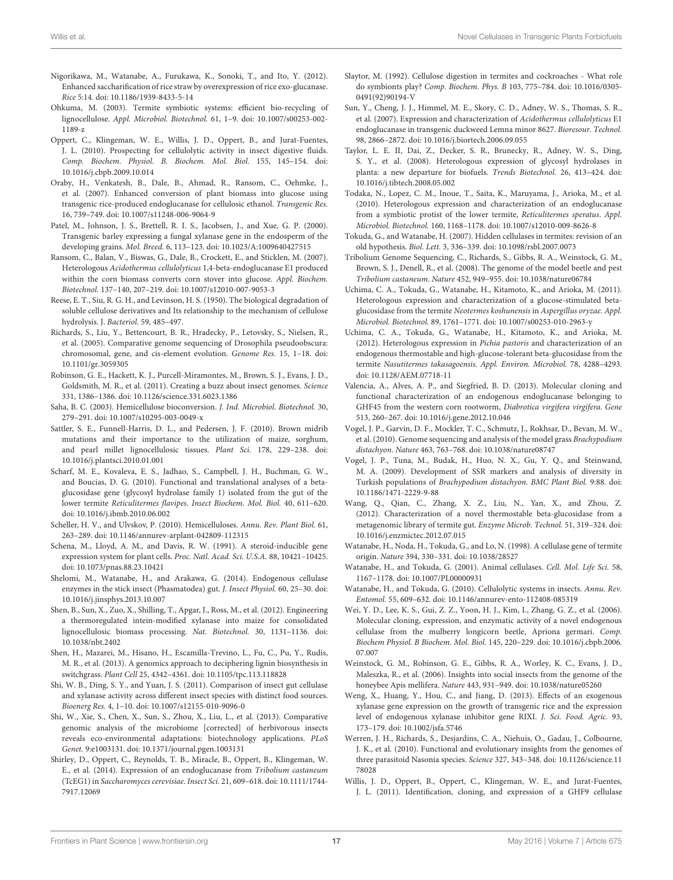- <span id="page-17-6"></span>Nigorikawa, M., Watanabe, A., Furukawa, K., Sonoki, T., and Ito, Y. (2012). Enhanced saccharification of rice straw by overexpression of rice exo-glucanase. Rice 5:14. doi: 10.1186/1939-8433-5-14
- <span id="page-17-10"></span>Ohkuma, M. (2003). Termite symbiotic systems: efficient bio-recycling of lignocellulose. Appl. Microbiol. Biotechnol. 61, 1–9. doi: 10.1007/s00253-002- 1189-z
- <span id="page-17-9"></span>Oppert, C., Klingeman, W. E., Willis, J. D., Oppert, B., and Jurat-Fuentes, J. L. (2010). Prospecting for cellulolytic activity in insect digestive fluids. Comp. Biochem. Physiol. B. Biochem. Mol. Biol. 155, 145–154. doi: 10.1016/j.cbpb.2009.10.014
- <span id="page-17-4"></span>Oraby, H., Venkatesh, B., Dale, B., Ahmad, R., Ransom, C., Oehmke, J., et al. (2007). Enhanced conversion of plant biomass into glucose using transgenic rice-produced endoglucanase for cellulosic ethanol. Transgenic Res. 16, 739–749. doi: 10.1007/s11248-006-9064-9
- <span id="page-17-7"></span>Patel, M., Johnson, J. S., Brettell, R. I. S., Jacobsen, J., and Xue, G. P. (2000). Transgenic barley expressing a fungal xylanase gene in the endosperm of the developing grains. Mol. Breed. 6, 113–123. doi: 10.1023/A:1009640427515
- <span id="page-17-3"></span>Ransom, C., Balan, V., Biswas, G., Dale, B., Crockett, E., and Sticklen, M. (2007). Heterologous Acidothermus cellulolyticus 1,4-beta-endoglucanase E1 produced within the corn biomass converts corn stover into glucose. Appl. Biochem. Biotechnol. 137–140, 207–219. doi: 10.1007/s12010-007-9053-3
- <span id="page-17-36"></span>Reese, E. T., Siu, R. G. H., and Levinson, H. S. (1950). The biological degradation of soluble cellulose derivatives and Its relationship to the mechanism of cellulose hydrolysis. J. Bacteriol. 59, 485–497.
- <span id="page-17-19"></span>Richards, S., Liu, Y., Bettencourt, B. R., Hradecky, P., Letovsky, S., Nielsen, R., et al. (2005). Comparative genome sequencing of Drosophila pseudoobscura: chromosomal, gene, and cis-element evolution. Genome Res. 15, 1–18. doi: 10.1101/gr.3059305
- <span id="page-17-23"></span>Robinson, G. E., Hackett, K. J., Purcell-Miramontes, M., Brown, S. J., Evans, J. D., Goldsmith, M. R., et al. (2011). Creating a buzz about insect genomes. Science 331, 1386–1386. doi: 10.1126/science.331.6023.1386
- <span id="page-17-1"></span>Saha, B. C. (2003). Hemicellulose bioconversion. J. Ind. Microbiol. Biotechnol. 30, 279–291. doi: 10.1007/s10295-003-0049-x
- <span id="page-17-39"></span>Sattler, S. E., Funnell-Harris, D. L., and Pedersen, J. F. (2010). Brown midrib mutations and their importance to the utilization of maize, sorghum, and pearl millet lignocellulosic tissues. Plant Sci. 178, 229–238. doi: 10.1016/j.plantsci.2010.01.001
- <span id="page-17-26"></span>Scharf, M. E., Kovaleva, E. S., Jadhao, S., Campbell, J. H., Buchman, G. W., and Boucias, D. G. (2010). Functional and translational analyses of a betaglucosidase gene (glycosyl hydrolase family 1) isolated from the gut of the lower termite Reticulitermes flavipes. Insect Biochem. Mol. Biol. 40, 611–620. doi: 10.1016/j.ibmb.2010.06.002
- <span id="page-17-2"></span>Scheller, H. V., and Ulvskov, P. (2010). Hemicelluloses. Annu. Rev. Plant Biol. 61, 263–289. doi: 10.1146/annurev-arplant-042809-112315
- <span id="page-17-33"></span>Schena, M., Lloyd, A. M., and Davis, R. W. (1991). A steroid-inducible gene expression system for plant cells. Proc. Natl. Acad. Sci. U.S.A. 88, 10421–10425. doi: 10.1073/pnas.88.23.10421
- <span id="page-17-17"></span>Shelomi, M., Watanabe, H., and Arakawa, G. (2014). Endogenous cellulase enzymes in the stick insect (Phasmatodea) gut. J. Insect Physiol. 60, 25–30. doi: 10.1016/j.jinsphys.2013.10.007
- <span id="page-17-34"></span>Shen, B., Sun, X., Zuo, X., Shilling, T., Apgar, J., Ross, M., et al. (2012). Engineering a thermoregulated intein-modified xylanase into maize for consolidated lignocellulosic biomass processing. Nat. Biotechnol. 30, 1131–1136. doi: 10.1038/nbt.2402
- <span id="page-17-35"></span>Shen, H., Mazarei, M., Hisano, H., Escamilla-Trevino, L., Fu, C., Pu, Y., Rudis, M. R., et al. (2013). A genomics approach to deciphering lignin biosynthesis in switchgrass. Plant Cell 25, 4342–4361. doi: 10.1105/tpc.113.118828
- <span id="page-17-14"></span>Shi, W. B., Ding, S. Y., and Yuan, J. S. (2011). Comparison of insect gut cellulase and xylanase activity across different insect species with distinct food sources. Bioenerg Res. 4, 1–10. doi: 10.1007/s12155-010-9096-0
- <span id="page-17-15"></span>Shi, W., Xie, S., Chen, X., Sun, S., Zhou, X., Liu, L., et al. (2013). Comparative genomic analysis of the microbiome [corrected] of herbivorous insects reveals eco-environmental adaptations: biotechnology applications. PLoS Genet. 9:e1003131. doi: 10.1371/journal.pgen.1003131
- <span id="page-17-32"></span>Shirley, D., Oppert, C., Reynolds, T. B., Miracle, B., Oppert, B., Klingeman, W. E., et al. (2014). Expression of an endoglucanase from Tribolium castaneum (TcEG1) in Saccharomyces cerevisiae. Insect Sci. 21, 609–618. doi: 10.1111/1744- 7917.12069
- <span id="page-17-18"></span>Slaytor, M. (1992). Cellulose digestion in termites and cockroaches - What role do symbionts play? Comp. Biochem. Phys. B 103, 775–784. doi: 10.1016/0305- 0491(92)90194-V
- <span id="page-17-5"></span>Sun, Y., Cheng, J. J., Himmel, M. E., Skory, C. D., Adney, W. S., Thomas, S. R., et al. (2007). Expression and characterization of Acidothermus cellulolyticus E1 endoglucanase in transgenic duckweed Lemna minor 8627. Bioresour. Technol. 98, 2866–2872. doi: 10.1016/j.biortech.2006.09.055
- <span id="page-17-0"></span>Taylor, L. E. II, Dai, Z., Decker, S. R., Brunecky, R., Adney, W. S., Ding, S. Y., et al. (2008). Heterologous expression of glycosyl hydrolases in planta: a new departure for biofuels. Trends Biotechnol. 26, 413–424. doi: 10.1016/j.tibtech.2008.05.002
- <span id="page-17-27"></span>Todaka, N., Lopez, C. M., Inoue, T., Saita, K., Maruyama, J., Arioka, M., et al. (2010). Heterologous expression and characterization of an endoglucanase from a symbiotic protist of the lower termite, Reticulitermes speratus. Appl. Microbiol. Biotechnol. 160, 1168–1178. doi: 10.1007/s12010-009-8626-8
- <span id="page-17-12"></span>Tokuda, G., and Watanabe, H. (2007). Hidden cellulases in termites: revision of an old hypothesis. Biol. Lett. 3, 336–339. doi: 10.1098/rsbl.2007.0073
- <span id="page-17-21"></span>Tribolium Genome Sequencing, C., Richards, S., Gibbs, R. A., Weinstock, G. M., Brown, S. J., Denell, R., et al. (2008). The genome of the model beetle and pest Tribolium castaneum. Nature 452, 949–955. doi: 10.1038/nature06784
- <span id="page-17-25"></span>Uchima, C. A., Tokuda, G., Watanabe, H., Kitamoto, K., and Arioka, M. (2011). Heterologous expression and characterization of a glucose-stimulated betaglucosidase from the termite Neotermes koshunensis in Aspergillus oryzae. Appl. Microbiol. Biotechnol. 89, 1761–1771. doi: 10.1007/s00253-010-2963-y
- <span id="page-17-29"></span>Uchima, C. A., Tokuda, G., Watanabe, H., Kitamoto, K., and Arioka, M. (2012). Heterologous expression in Pichia pastoris and characterization of an endogenous thermostable and high-glucose-tolerant beta-glucosidase from the termite Nasutitermes takasagoensis. Appl. Environ. Microbiol. 78, 4288–4293. doi: 10.1128/AEM.07718-11
- <span id="page-17-31"></span>Valencia, A., Alves, A. P., and Siegfried, B. D. (2013). Molecular cloning and functional characterization of an endogenous endoglucanase belonging to GHF45 from the western corn rootworm, Diabrotica virgifera virgifera. Gene 513, 260–267. doi: 10.1016/j.gene.2012.10.046
- <span id="page-17-38"></span>Vogel, J. P., Garvin, D. F., Mockler, T. C., Schmutz, J., Rokhsar, D., Bevan, M. W., et al. (2010). Genome sequencing and analysis of the model grass Brachypodium distachyon. Nature 463, 763–768. doi: 10.1038/nature08747
- <span id="page-17-37"></span>Vogel, J. P., Tuna, M., Budak, H., Huo, N. X., Gu, Y. Q., and Steinwand, M. A. (2009). Development of SSR markers and analysis of diversity in Turkish populations of Brachypodium distachyon. BMC Plant Biol. 9:88. doi: 10.1186/1471-2229-9-88
- <span id="page-17-28"></span>Wang, Q., Qian, C., Zhang, X. Z., Liu, N., Yan, X., and Zhou, Z. (2012). Characterization of a novel thermostable beta-glucosidase from a metagenomic library of termite gut. Enzyme Microb. Technol. 51, 319–324. doi: 10.1016/j.enzmictec.2012.07.015
- <span id="page-17-11"></span>Watanabe, H., Noda, H., Tokuda, G., and Lo, N. (1998). A cellulase gene of termite origin. Nature 394, 330–331. doi: 10.1038/28527
- <span id="page-17-24"></span>Watanabe, H., and Tokuda, G. (2001). Animal cellulases. Cell. Mol. Life Sci. 58, 1167–1178. doi: 10.1007/PL00000931
- <span id="page-17-13"></span>Watanabe, H., and Tokuda, G. (2010). Cellulolytic systems in insects. Annu. Rev. Entomol. 55, 609–632. doi: 10.1146/annurev-ento-112408-085319
- <span id="page-17-30"></span>Wei, Y. D., Lee, K. S., Gui, Z. Z., Yoon, H. J., Kim, I., Zhang, G. Z., et al. (2006). Molecular cloning, expression, and enzymatic activity of a novel endogenous cellulase from the mulberry longicorn beetle, Apriona germari. Comp. Biochem Physiol. B Biochem. Mol. Biol. 145, 220–229. doi: 10.1016/j.cbpb.2006. 07.007
- <span id="page-17-20"></span>Weinstock, G. M., Robinson, G. E., Gibbs, R. A., Worley, K. C., Evans, J. D., Maleszka, R., et al. (2006). Insights into social insects from the genome of the honeybee Apis mellifera. Nature 443, 931–949. doi: 10.1038/nature05260
- <span id="page-17-8"></span>Weng, X., Huang, Y., Hou, C., and Jiang, D. (2013). Effects of an exogenous xylanase gene expression on the growth of transgenic rice and the expression level of endogenous xylanase inhibitor gene RIXI. J. Sci. Food. Agric. 93, 173–179. doi: 10.1002/jsfa.5746
- <span id="page-17-22"></span>Werren, J. H., Richards, S., Desjardins, C. A., Niehuis, O., Gadau, J., Colbourne, J. K., et al. (2010). Functional and evolutionary insights from the genomes of three parasitoid Nasonia species. Science 327, 343–348. doi: 10.1126/science.11 78028
- <span id="page-17-16"></span>Willis, J. D., Oppert, B., Oppert, C., Klingeman, W. E., and Jurat-Fuentes, J. L. (2011). Identification, cloning, and expression of a GHF9 cellulase